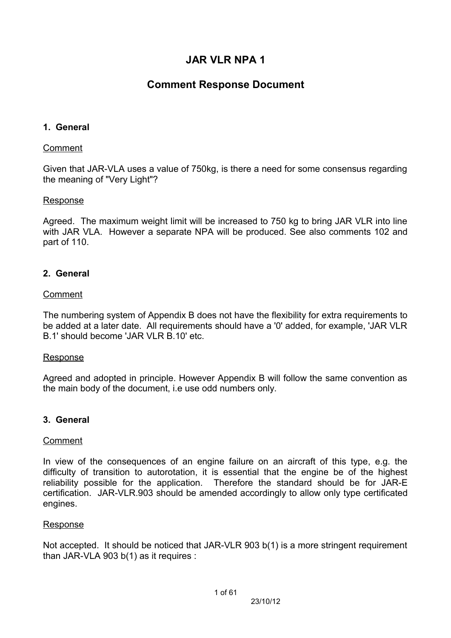# **JAR VLR NPA 1**

# **Comment Response Document**

## **1. General**

### Comment

Given that JAR-VLA uses a value of 750kg, is there a need for some consensus regarding the meaning of "Very Light"?

### Response

Agreed. The maximum weight limit will be increased to 750 kg to bring JAR VLR into line with JAR VLA. However a separate NPA will be produced. See also comments 102 and part of 110.

## **2. General**

### Comment

The numbering system of Appendix B does not have the flexibility for extra requirements to be added at a later date. All requirements should have a '0' added, for example, 'JAR VLR B.1' should become 'JAR VLR B.10' etc.

### Response

Agreed and adopted in principle. However Appendix B will follow the same convention as the main body of the document, i.e use odd numbers only.

## **3. General**

### Comment

In view of the consequences of an engine failure on an aircraft of this type, e.g. the difficulty of transition to autorotation, it is essential that the engine be of the highest reliability possible for the application. Therefore the standard should be for JAR-E certification. JAR-VLR.903 should be amended accordingly to allow only type certificated engines.

### Response

Not accepted. It should be noticed that JAR-VLR 903 b(1) is a more stringent requirement than JAR-VLA 903 b(1) as it requires :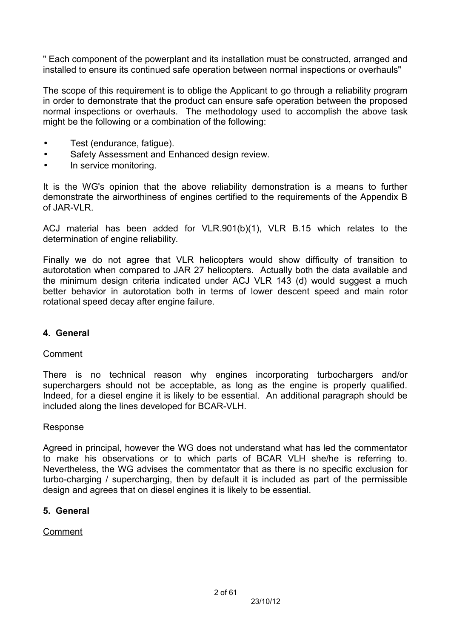" Each component of the powerplant and its installation must be constructed, arranged and installed to ensure its continued safe operation between normal inspections or overhauls"

The scope of this requirement is to oblige the Applicant to go through a reliability program in order to demonstrate that the product can ensure safe operation between the proposed normal inspections or overhauls. The methodology used to accomplish the above task might be the following or a combination of the following:

- Test (endurance, fatigue).
- Safety Assessment and Enhanced design review.
- In service monitoring.

It is the WG's opinion that the above reliability demonstration is a means to further demonstrate the airworthiness of engines certified to the requirements of the Appendix B of JAR-VLR.

ACJ material has been added for VLR.901(b)(1), VLR B.15 which relates to the determination of engine reliability.

Finally we do not agree that VLR helicopters would show difficulty of transition to autorotation when compared to JAR 27 helicopters. Actually both the data available and the minimum design criteria indicated under ACJ VLR 143 (d) would suggest a much better behavior in autorotation both in terms of lower descent speed and main rotor rotational speed decay after engine failure.

## **4. General**

## Comment

There is no technical reason why engines incorporating turbochargers and/or superchargers should not be acceptable, as long as the engine is properly qualified. Indeed, for a diesel engine it is likely to be essential. An additional paragraph should be included along the lines developed for BCAR-VLH.

## Response

Agreed in principal, however the WG does not understand what has led the commentator to make his observations or to which parts of BCAR VLH she/he is referring to. Nevertheless, the WG advises the commentator that as there is no specific exclusion for turbo-charging / supercharging, then by default it is included as part of the permissible design and agrees that on diesel engines it is likely to be essential.

## **5. General**

## Comment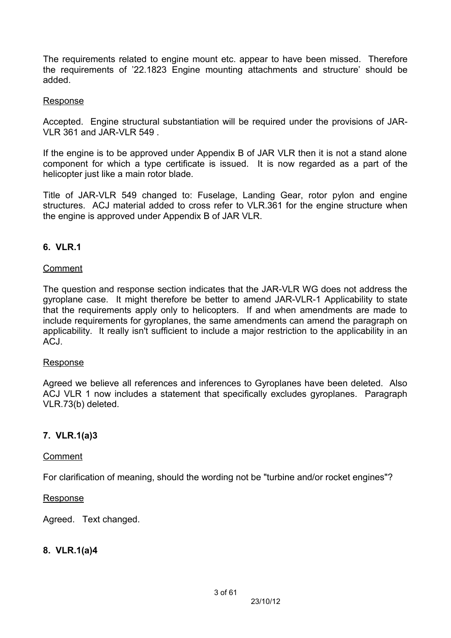The requirements related to engine mount etc. appear to have been missed. Therefore the requirements of '22.1823 Engine mounting attachments and structure' should be added.

#### Response

Accepted. Engine structural substantiation will be required under the provisions of JAR-VLR 361 and JAR-VLR 549

If the engine is to be approved under Appendix B of JAR VLR then it is not a stand alone component for which a type certificate is issued. It is now regarded as a part of the helicopter just like a main rotor blade.

Title of JAR-VLR 549 changed to: Fuselage, Landing Gear, rotor pylon and engine structures. ACJ material added to cross refer to VLR.361 for the engine structure when the engine is approved under Appendix B of JAR VLR.

### **6. VLR.1**

#### Comment

The question and response section indicates that the JAR-VLR WG does not address the gyroplane case. It might therefore be better to amend JAR-VLR-1 Applicability to state that the requirements apply only to helicopters. If and when amendments are made to include requirements for gyroplanes, the same amendments can amend the paragraph on applicability. It really isn't sufficient to include a major restriction to the applicability in an ACJ.

#### Response

Agreed we believe all references and inferences to Gyroplanes have been deleted. Also ACJ VLR 1 now includes a statement that specifically excludes gyroplanes. Paragraph VLR.73(b) deleted.

### **7. VLR.1(a)3**

#### Comment

For clarification of meaning, should the wording not be "turbine and/or rocket engines"?

#### **Response**

Agreed. Text changed.

### **8. VLR.1(a)4**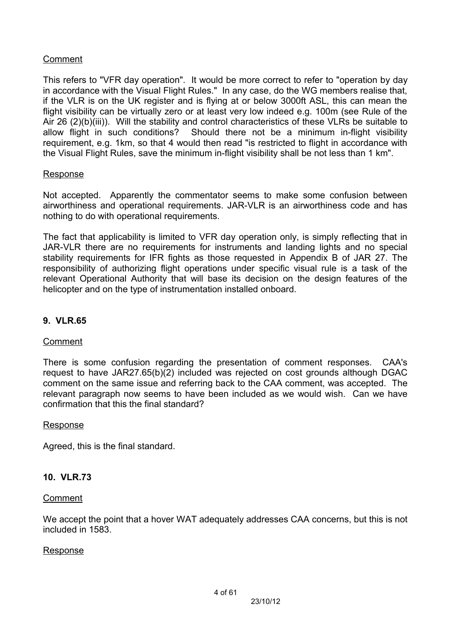## Comment

This refers to "VFR day operation". It would be more correct to refer to "operation by day in accordance with the Visual Flight Rules." In any case, do the WG members realise that, if the VLR is on the UK register and is flying at or below 3000ft ASL, this can mean the flight visibility can be virtually zero or at least very low indeed e.g. 100m (see Rule of the Air 26 (2)(b)(iii)). Will the stability and control characteristics of these VLRs be suitable to allow flight in such conditions? Should there not be a minimum in-flight visibility requirement, e.g. 1km, so that 4 would then read "is restricted to flight in accordance with the Visual Flight Rules, save the minimum in-flight visibility shall be not less than 1 km".

#### Response

Not accepted. Apparently the commentator seems to make some confusion between airworthiness and operational requirements. JAR-VLR is an airworthiness code and has nothing to do with operational requirements.

The fact that applicability is limited to VFR day operation only, is simply reflecting that in JAR-VLR there are no requirements for instruments and landing lights and no special stability requirements for IFR fights as those requested in Appendix B of JAR 27. The responsibility of authorizing flight operations under specific visual rule is a task of the relevant Operational Authority that will base its decision on the design features of the helicopter and on the type of instrumentation installed onboard.

## **9. VLR.65**

### Comment

There is some confusion regarding the presentation of comment responses. CAA's request to have JAR27.65(b)(2) included was rejected on cost grounds although DGAC comment on the same issue and referring back to the CAA comment, was accepted. The relevant paragraph now seems to have been included as we would wish. Can we have confirmation that this the final standard?

### Response

Agreed, this is the final standard.

### **10. VLR.73**

### **Comment**

We accept the point that a hover WAT adequately addresses CAA concerns, but this is not included in 1583.

#### **Response**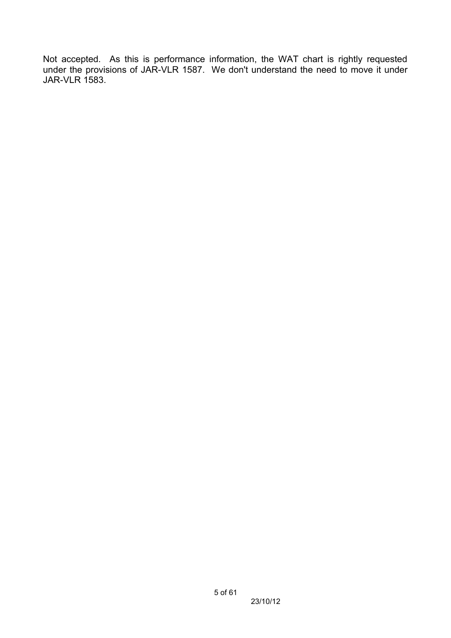Not accepted. As this is performance information, the WAT chart is rightly requested under the provisions of JAR-VLR 1587. We don't understand the need to move it under JAR-VLR 1583.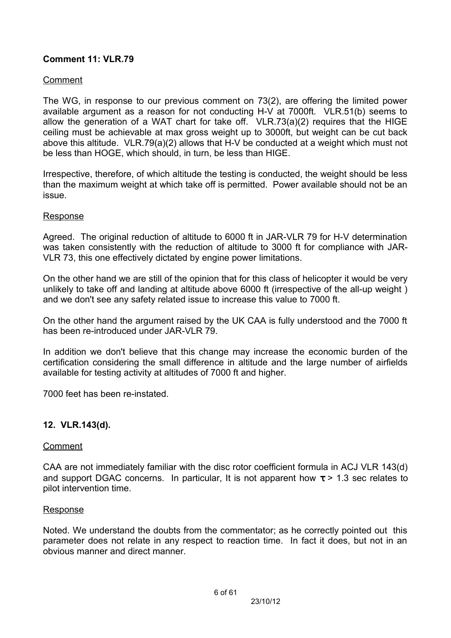## **Comment 11: VLR.79**

### Comment

The WG, in response to our previous comment on 73(2), are offering the limited power available argument as a reason for not conducting H-V at 7000ft. VLR.51(b) seems to allow the generation of a WAT chart for take off. VLR.73(a)(2) requires that the HIGE ceiling must be achievable at max gross weight up to 3000ft, but weight can be cut back above this altitude. VLR.79(a)(2) allows that H-V be conducted at a weight which must not be less than HOGE, which should, in turn, be less than HIGE.

Irrespective, therefore, of which altitude the testing is conducted, the weight should be less than the maximum weight at which take off is permitted. Power available should not be an issue.

### Response

Agreed. The original reduction of altitude to 6000 ft in JAR-VLR 79 for H-V determination was taken consistently with the reduction of altitude to 3000 ft for compliance with JAR-VLR 73, this one effectively dictated by engine power limitations.

On the other hand we are still of the opinion that for this class of helicopter it would be very unlikely to take off and landing at altitude above 6000 ft (irrespective of the all-up weight ) and we don't see any safety related issue to increase this value to 7000 ft.

On the other hand the argument raised by the UK CAA is fully understood and the 7000 ft has been re-introduced under JAR-VLR 79.

In addition we don't believe that this change may increase the economic burden of the certification considering the small difference in altitude and the large number of airfields available for testing activity at altitudes of 7000 ft and higher.

7000 feet has been re-instated.

### **12. VLR.143(d).**

### Comment

CAA are not immediately familiar with the disc rotor coefficient formula in ACJ VLR 143(d) and support DGAC concerns. In particular, It is not apparent how  $\tau > 1.3$  sec relates to pilot intervention time.

#### Response

Noted. We understand the doubts from the commentator; as he correctly pointed out this parameter does not relate in any respect to reaction time. In fact it does, but not in an obvious manner and direct manner.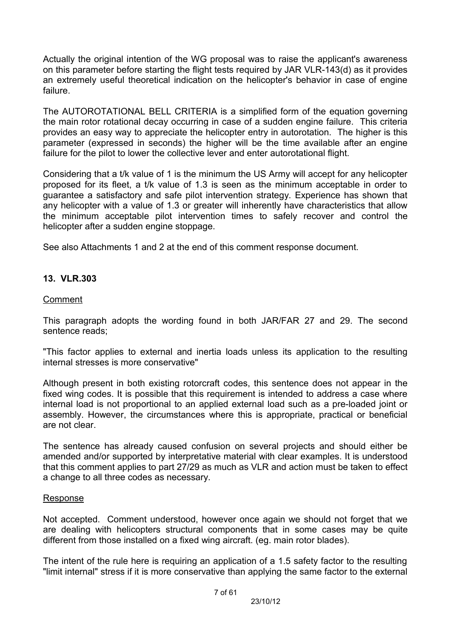Actually the original intention of the WG proposal was to raise the applicant's awareness on this parameter before starting the flight tests required by JAR VLR-143(d) as it provides an extremely useful theoretical indication on the helicopter's behavior in case of engine failure.

The AUTOROTATIONAL BELL CRITERIA is a simplified form of the equation governing the main rotor rotational decay occurring in case of a sudden engine failure. This criteria provides an easy way to appreciate the helicopter entry in autorotation. The higher is this parameter (expressed in seconds) the higher will be the time available after an engine failure for the pilot to lower the collective lever and enter autorotational flight.

Considering that a t/k value of 1 is the minimum the US Army will accept for any helicopter proposed for its fleet, a t/k value of 1.3 is seen as the minimum acceptable in order to guarantee a satisfactory and safe pilot intervention strategy. Experience has shown that any helicopter with a value of 1.3 or greater will inherently have characteristics that allow the minimum acceptable pilot intervention times to safely recover and control the helicopter after a sudden engine stoppage.

See also Attachments 1 and 2 at the end of this comment response document.

### **13. VLR.303**

### Comment

This paragraph adopts the wording found in both JAR/FAR 27 and 29. The second sentence reads;

"This factor applies to external and inertia loads unless its application to the resulting internal stresses is more conservative"

Although present in both existing rotorcraft codes, this sentence does not appear in the fixed wing codes. It is possible that this requirement is intended to address a case where internal load is not proportional to an applied external load such as a pre-loaded joint or assembly. However, the circumstances where this is appropriate, practical or beneficial are not clear.

The sentence has already caused confusion on several projects and should either be amended and/or supported by interpretative material with clear examples. It is understood that this comment applies to part 27/29 as much as VLR and action must be taken to effect a change to all three codes as necessary.

#### **Response**

Not accepted. Comment understood, however once again we should not forget that we are dealing with helicopters structural components that in some cases may be quite different from those installed on a fixed wing aircraft. (eg. main rotor blades).

The intent of the rule here is requiring an application of a 1.5 safety factor to the resulting "limit internal" stress if it is more conservative than applying the same factor to the external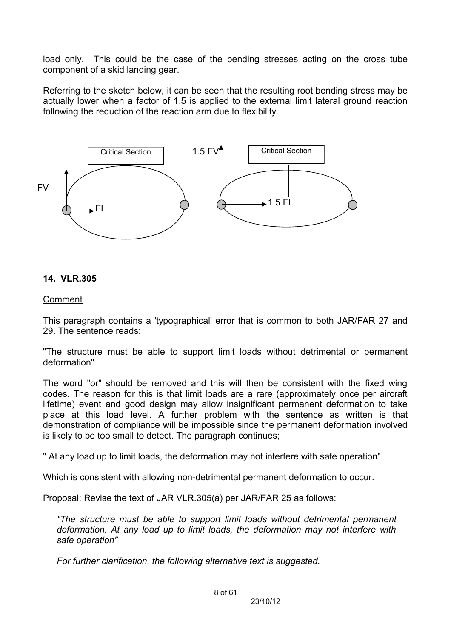load only. This could be the case of the bending stresses acting on the cross tube component of a skid landing gear.

Referring to the sketch below, it can be seen that the resulting root bending stress may be actually lower when a factor of 1.5 is applied to the external limit lateral ground reaction following the reduction of the reaction arm due to flexibility.



#### **14. VLR.305**

#### Comment

This paragraph contains a 'typographical' error that is common to both JAR/FAR 27 and 29. The sentence reads:

"The structure must be able to support limit loads without detrimental or permanent deformation"

The word "or" should be removed and this will then be consistent with the fixed wing codes. The reason for this is that limit loads are a rare (approximately once per aircraft lifetime) event and good design may allow insignificant permanent deformation to take place at this load level. A further problem with the sentence as written is that demonstration of compliance will be impossible since the permanent deformation involved is likely to be too small to detect. The paragraph continues;

" At any load up to limit loads, the deformation may not interfere with safe operation"

Which is consistent with allowing non-detrimental permanent deformation to occur.

Proposal: Revise the text of JAR VLR.305(a) per JAR/FAR 25 as follows:

*"The structure must be able to support limit loads without detrimental permanent deformation. At any load up to limit loads, the deformation may not interfere with safe operation"*

*For further clarification, the following alternative text is suggested.*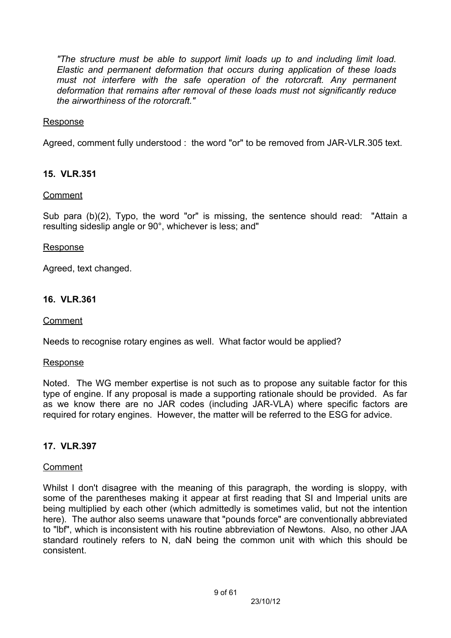*"The structure must be able to support limit loads up to and including limit load. Elastic and permanent deformation that occurs during application of these loads must not interfere with the safe operation of the rotorcraft. Any permanent deformation that remains after removal of these loads must not significantly reduce the airworthiness of the rotorcraft."*

### Response

Agreed, comment fully understood : the word "or" to be removed from JAR-VLR.305 text.

## **15. VLR.351**

### Comment

Sub para (b)(2), Typo, the word "or" is missing, the sentence should read: "Attain a resulting sideslip angle or 90°, whichever is less; and"

### Response

Agreed, text changed.

## **16. VLR.361**

Comment

Needs to recognise rotary engines as well. What factor would be applied?

### Response

Noted. The WG member expertise is not such as to propose any suitable factor for this type of engine. If any proposal is made a supporting rationale should be provided. As far as we know there are no JAR codes (including JAR-VLA) where specific factors are required for rotary engines. However, the matter will be referred to the ESG for advice.

## **17. VLR.397**

### Comment

Whilst I don't disagree with the meaning of this paragraph, the wording is sloppy, with some of the parentheses making it appear at first reading that SI and Imperial units are being multiplied by each other (which admittedly is sometimes valid, but not the intention here). The author also seems unaware that "pounds force" are conventionally abbreviated to "lbf", which is inconsistent with his routine abbreviation of Newtons. Also, no other JAA standard routinely refers to N, daN being the common unit with which this should be consistent.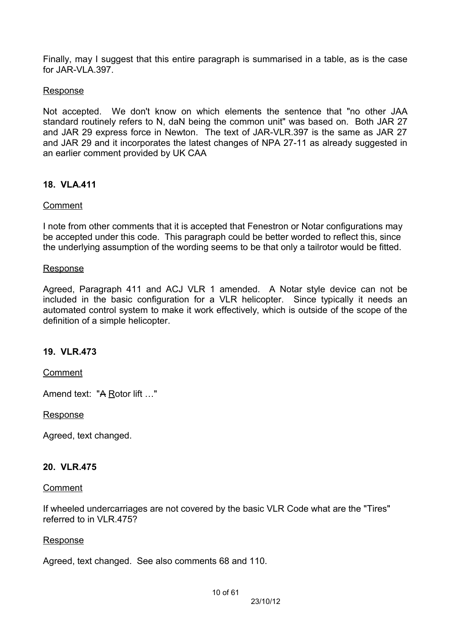Finally, may I suggest that this entire paragraph is summarised in a table, as is the case for JAR-VLA.397.

### Response

Not accepted. We don't know on which elements the sentence that "no other JAA standard routinely refers to N, daN being the common unit" was based on. Both JAR 27 and JAR 29 express force in Newton. The text of JAR-VLR.397 is the same as JAR 27 and JAR 29 and it incorporates the latest changes of NPA 27-11 as already suggested in an earlier comment provided by UK CAA

### **18. VLA.411**

### Comment

I note from other comments that it is accepted that Fenestron or Notar configurations may be accepted under this code. This paragraph could be better worded to reflect this, since the underlying assumption of the wording seems to be that only a tailrotor would be fitted.

#### Response

Agreed, Paragraph 411 and ACJ VLR 1 amended. A Notar style device can not be included in the basic configuration for a VLR helicopter. Since typically it needs an automated control system to make it work effectively, which is outside of the scope of the definition of a simple helicopter.

### **19. VLR.473**

#### Comment

Amend text: "A Rotor lift …"

#### Response

Agreed, text changed.

### **20. VLR.475**

#### Comment

If wheeled undercarriages are not covered by the basic VLR Code what are the "Tires" referred to in VLR 475?

### Response

Agreed, text changed. See also comments 68 and 110.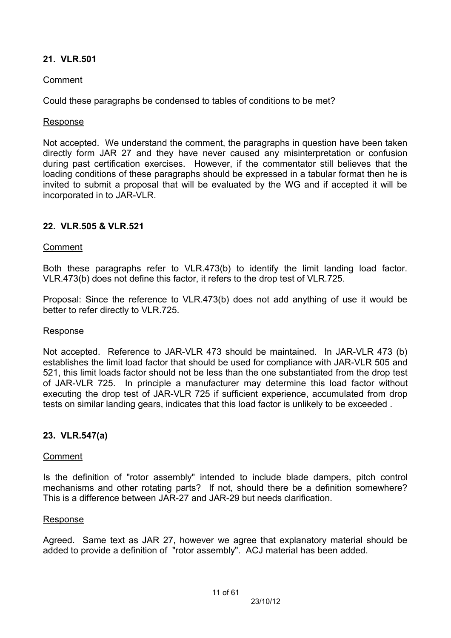## **21. VLR.501**

### Comment

Could these paragraphs be condensed to tables of conditions to be met?

### Response

Not accepted. We understand the comment, the paragraphs in question have been taken directly form JAR 27 and they have never caused any misinterpretation or confusion during past certification exercises. However, if the commentator still believes that the loading conditions of these paragraphs should be expressed in a tabular format then he is invited to submit a proposal that will be evaluated by the WG and if accepted it will be incorporated in to JAR-VLR.

### **22. VLR.505 & VLR.521**

### Comment

Both these paragraphs refer to VLR.473(b) to identify the limit landing load factor. VLR.473(b) does not define this factor, it refers to the drop test of VLR.725.

Proposal: Since the reference to VLR.473(b) does not add anything of use it would be better to refer directly to VLR.725.

### Response

Not accepted. Reference to JAR-VLR 473 should be maintained. In JAR-VLR 473 (b) establishes the limit load factor that should be used for compliance with JAR-VLR 505 and 521, this limit loads factor should not be less than the one substantiated from the drop test of JAR-VLR 725. In principle a manufacturer may determine this load factor without executing the drop test of JAR-VLR 725 if sufficient experience, accumulated from drop tests on similar landing gears, indicates that this load factor is unlikely to be exceeded .

### **23. VLR.547(a)**

### **Comment**

Is the definition of "rotor assembly" intended to include blade dampers, pitch control mechanisms and other rotating parts? If not, should there be a definition somewhere? This is a difference between JAR-27 and JAR-29 but needs clarification.

#### Response

Agreed. Same text as JAR 27, however we agree that explanatory material should be added to provide a definition of "rotor assembly". ACJ material has been added.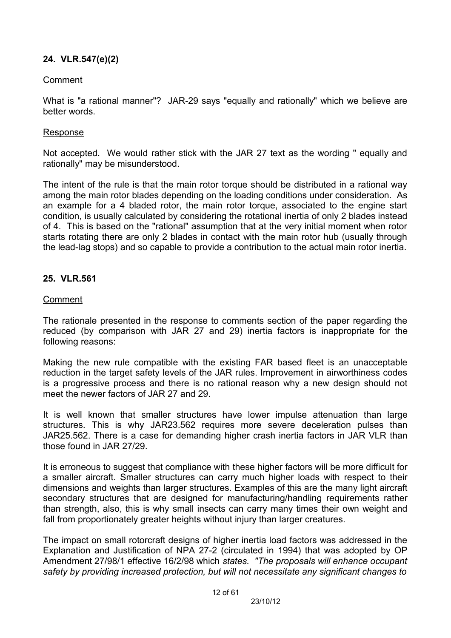## **24. VLR.547(e)(2)**

### Comment

What is "a rational manner"? JAR-29 says "equally and rationally" which we believe are better words.

#### Response

Not accepted. We would rather stick with the JAR 27 text as the wording " equally and rationally" may be misunderstood.

The intent of the rule is that the main rotor torque should be distributed in a rational way among the main rotor blades depending on the loading conditions under consideration. As an example for a 4 bladed rotor, the main rotor torque, associated to the engine start condition, is usually calculated by considering the rotational inertia of only 2 blades instead of 4. This is based on the "rational" assumption that at the very initial moment when rotor starts rotating there are only 2 blades in contact with the main rotor hub (usually through the lead-lag stops) and so capable to provide a contribution to the actual main rotor inertia.

### **25. VLR.561**

### Comment

The rationale presented in the response to comments section of the paper regarding the reduced (by comparison with JAR 27 and 29) inertia factors is inappropriate for the following reasons:

Making the new rule compatible with the existing FAR based fleet is an unacceptable reduction in the target safety levels of the JAR rules. Improvement in airworthiness codes is a progressive process and there is no rational reason why a new design should not meet the newer factors of JAR 27 and 29.

It is well known that smaller structures have lower impulse attenuation than large structures. This is why JAR23.562 requires more severe deceleration pulses than JAR25.562. There is a case for demanding higher crash inertia factors in JAR VLR than those found in JAR 27/29.

It is erroneous to suggest that compliance with these higher factors will be more difficult for a smaller aircraft. Smaller structures can carry much higher loads with respect to their dimensions and weights than larger structures. Examples of this are the many light aircraft secondary structures that are designed for manufacturing/handling requirements rather than strength, also, this is why small insects can carry many times their own weight and fall from proportionately greater heights without injury than larger creatures.

The impact on small rotorcraft designs of higher inertia load factors was addressed in the Explanation and Justification of NPA 27-2 (circulated in 1994) that was adopted by OP Amendment 27/98/1 effective 16/2/98 which *states. "The proposals will enhance occupant safety by providing increased protection, but will not necessitate any significant changes to*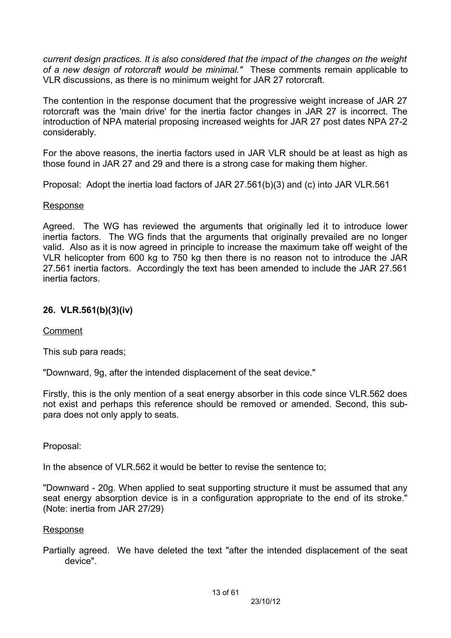*current design practices. It is also considered that the impact of the changes on the weight of a new design of rotorcraft would be minimal."* These comments remain applicable to VLR discussions, as there is no minimum weight for JAR 27 rotorcraft.

The contention in the response document that the progressive weight increase of JAR 27 rotorcraft was the 'main drive' for the inertia factor changes in JAR 27 is incorrect. The introduction of NPA material proposing increased weights for JAR 27 post dates NPA 27-2 considerably.

For the above reasons, the inertia factors used in JAR VLR should be at least as high as those found in JAR 27 and 29 and there is a strong case for making them higher.

Proposal: Adopt the inertia load factors of JAR 27.561(b)(3) and (c) into JAR VLR.561

### Response

Agreed. The WG has reviewed the arguments that originally led it to introduce lower inertia factors. The WG finds that the arguments that originally prevailed are no longer valid. Also as it is now agreed in principle to increase the maximum take off weight of the VLR helicopter from 600 kg to 750 kg then there is no reason not to introduce the JAR 27.561 inertia factors. Accordingly the text has been amended to include the JAR 27.561 inertia factors.

## **26. VLR.561(b)(3)(iv)**

## Comment

This sub para reads;

"Downward, 9g, after the intended displacement of the seat device."

Firstly, this is the only mention of a seat energy absorber in this code since VLR.562 does not exist and perhaps this reference should be removed or amended. Second, this subpara does not only apply to seats.

Proposal:

In the absence of VLR.562 it would be better to revise the sentence to;

"Downward - 20g. When applied to seat supporting structure it must be assumed that any seat energy absorption device is in a configuration appropriate to the end of its stroke." (Note: inertia from JAR 27/29)

### Response

Partially agreed. We have deleted the text "after the intended displacement of the seat device".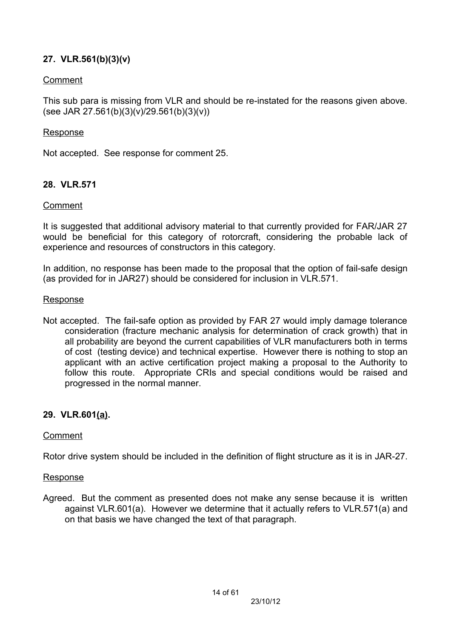## **27. VLR.561(b)(3)(v)**

### Comment

This sub para is missing from VLR and should be re-instated for the reasons given above. (see JAR 27.561(b)(3)(v)/29.561(b)(3)(v))

#### Response

Not accepted. See response for comment 25.

### **28. VLR.571**

#### Comment

It is suggested that additional advisory material to that currently provided for FAR/JAR 27 would be beneficial for this category of rotorcraft, considering the probable lack of experience and resources of constructors in this category.

In addition, no response has been made to the proposal that the option of fail-safe design (as provided for in JAR27) should be considered for inclusion in VLR.571.

#### Response

Not accepted. The fail-safe option as provided by FAR 27 would imply damage tolerance consideration (fracture mechanic analysis for determination of crack growth) that in all probability are beyond the current capabilities of VLR manufacturers both in terms of cost (testing device) and technical expertise. However there is nothing to stop an applicant with an active certification project making a proposal to the Authority to follow this route. Appropriate CRIs and special conditions would be raised and progressed in the normal manner.

### **29. VLR.601(a).**

#### Comment

Rotor drive system should be included in the definition of flight structure as it is in JAR-27.

#### Response

Agreed. But the comment as presented does not make any sense because it is written against VLR.601(a). However we determine that it actually refers to VLR.571(a) and on that basis we have changed the text of that paragraph.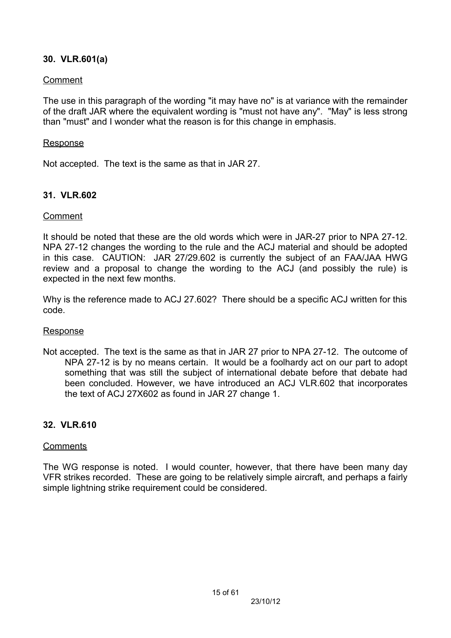## **30. VLR.601(a)**

### Comment

The use in this paragraph of the wording "it may have no" is at variance with the remainder of the draft JAR where the equivalent wording is "must not have any". "May" is less strong than "must" and I wonder what the reason is for this change in emphasis.

### **Response**

Not accepted. The text is the same as that in JAR 27.

## **31. VLR.602**

### Comment

It should be noted that these are the old words which were in JAR-27 prior to NPA 27-12. NPA 27-12 changes the wording to the rule and the ACJ material and should be adopted in this case. CAUTION: JAR 27/29.602 is currently the subject of an FAA/JAA HWG review and a proposal to change the wording to the ACJ (and possibly the rule) is expected in the next few months.

Why is the reference made to ACJ 27.602? There should be a specific ACJ written for this code.

### Response

Not accepted. The text is the same as that in JAR 27 prior to NPA 27-12. The outcome of NPA 27-12 is by no means certain. It would be a foolhardy act on our part to adopt something that was still the subject of international debate before that debate had been concluded. However, we have introduced an ACJ VLR.602 that incorporates the text of ACJ 27X602 as found in JAR 27 change 1.

## **32. VLR.610**

### **Comments**

The WG response is noted. I would counter, however, that there have been many day VFR strikes recorded. These are going to be relatively simple aircraft, and perhaps a fairly simple lightning strike requirement could be considered.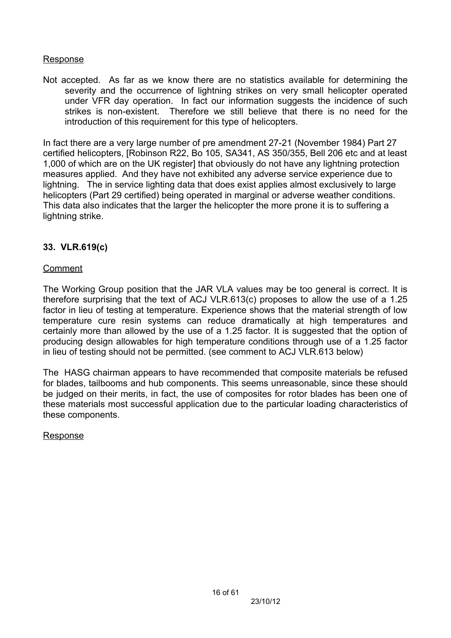### Response

Not accepted. As far as we know there are no statistics available for determining the severity and the occurrence of lightning strikes on very small helicopter operated under VFR day operation. In fact our information suggests the incidence of such strikes is non-existent. Therefore we still believe that there is no need for the introduction of this requirement for this type of helicopters.

In fact there are a very large number of pre amendment 27-21 (November 1984) Part 27 certified helicopters, [Robinson R22, Bo 105, SA341, AS 350/355, Bell 206 etc and at least 1,000 of which are on the UK register] that obviously do not have any lightning protection measures applied. And they have not exhibited any adverse service experience due to lightning. The in service lighting data that does exist applies almost exclusively to large helicopters (Part 29 certified) being operated in marginal or adverse weather conditions. This data also indicates that the larger the helicopter the more prone it is to suffering a lightning strike.

## **33. VLR.619(c)**

### Comment

The Working Group position that the JAR VLA values may be too general is correct. It is therefore surprising that the text of ACJ VLR.613(c) proposes to allow the use of a 1.25 factor in lieu of testing at temperature. Experience shows that the material strength of low temperature cure resin systems can reduce dramatically at high temperatures and certainly more than allowed by the use of a 1.25 factor. It is suggested that the option of producing design allowables for high temperature conditions through use of a 1.25 factor in lieu of testing should not be permitted. (see comment to ACJ VLR.613 below)

The HASG chairman appears to have recommended that composite materials be refused for blades, tailbooms and hub components. This seems unreasonable, since these should be judged on their merits, in fact, the use of composites for rotor blades has been one of these materials most successful application due to the particular loading characteristics of these components.

### Response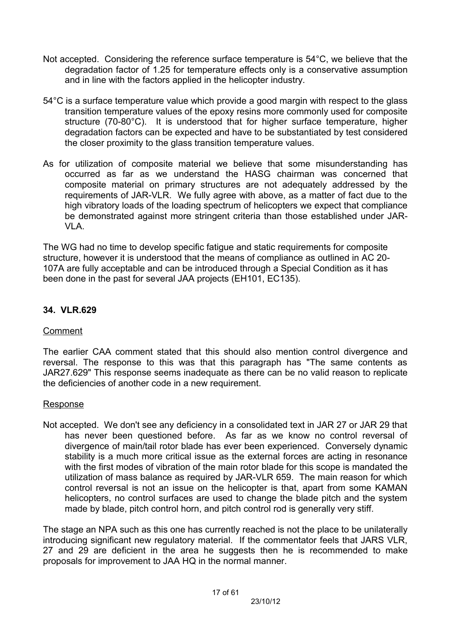- Not accepted. Considering the reference surface temperature is 54°C, we believe that the degradation factor of 1.25 for temperature effects only is a conservative assumption and in line with the factors applied in the helicopter industry.
- 54°C is a surface temperature value which provide a good margin with respect to the glass transition temperature values of the epoxy resins more commonly used for composite structure (70-80°C). It is understood that for higher surface temperature, higher degradation factors can be expected and have to be substantiated by test considered the closer proximity to the glass transition temperature values.
- As for utilization of composite material we believe that some misunderstanding has occurred as far as we understand the HASG chairman was concerned that composite material on primary structures are not adequately addressed by the requirements of JAR-VLR. We fully agree with above, as a matter of fact due to the high vibratory loads of the loading spectrum of helicopters we expect that compliance be demonstrated against more stringent criteria than those established under JAR-VLA.

The WG had no time to develop specific fatigue and static requirements for composite structure, however it is understood that the means of compliance as outlined in AC 20- 107A are fully acceptable and can be introduced through a Special Condition as it has been done in the past for several JAA projects (EH101, EC135).

## **34. VLR.629**

## Comment

The earlier CAA comment stated that this should also mention control divergence and reversal. The response to this was that this paragraph has "The same contents as JAR27.629" This response seems inadequate as there can be no valid reason to replicate the deficiencies of another code in a new requirement.

### Response

Not accepted. We don't see any deficiency in a consolidated text in JAR 27 or JAR 29 that has never been questioned before. As far as we know no control reversal of divergence of main/tail rotor blade has ever been experienced. Conversely dynamic stability is a much more critical issue as the external forces are acting in resonance with the first modes of vibration of the main rotor blade for this scope is mandated the utilization of mass balance as required by JAR-VLR 659. The main reason for which control reversal is not an issue on the helicopter is that, apart from some KAMAN helicopters, no control surfaces are used to change the blade pitch and the system made by blade, pitch control horn, and pitch control rod is generally very stiff.

The stage an NPA such as this one has currently reached is not the place to be unilaterally introducing significant new regulatory material. If the commentator feels that JARS VLR, 27 and 29 are deficient in the area he suggests then he is recommended to make proposals for improvement to JAA HQ in the normal manner.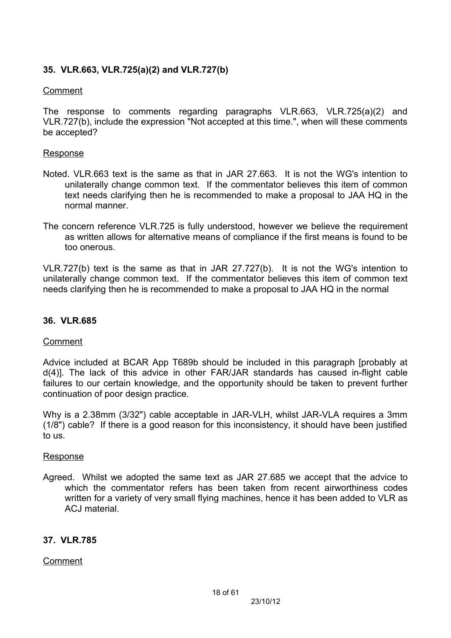## **35. VLR.663, VLR.725(a)(2) and VLR.727(b)**

### Comment

The response to comments regarding paragraphs VLR.663, VLR.725(a)(2) and VLR.727(b), include the expression "Not accepted at this time.", when will these comments be accepted?

#### Response

- Noted. VLR.663 text is the same as that in JAR 27.663. It is not the WG's intention to unilaterally change common text. If the commentator believes this item of common text needs clarifying then he is recommended to make a proposal to JAA HQ in the normal manner.
- The concern reference VLR.725 is fully understood, however we believe the requirement as written allows for alternative means of compliance if the first means is found to be too onerous.

VLR.727(b) text is the same as that in JAR 27.727(b). It is not the WG's intention to unilaterally change common text. If the commentator believes this item of common text needs clarifying then he is recommended to make a proposal to JAA HQ in the normal

### **36. VLR.685**

### Comment

Advice included at BCAR App T689b should be included in this paragraph [probably at d(4)]. The lack of this advice in other FAR/JAR standards has caused in-flight cable failures to our certain knowledge, and the opportunity should be taken to prevent further continuation of poor design practice.

Why is a 2.38mm (3/32") cable acceptable in JAR-VLH, whilst JAR-VLA requires a 3mm (1/8") cable? If there is a good reason for this inconsistency, it should have been justified to us.

#### Response

Agreed. Whilst we adopted the same text as JAR 27.685 we accept that the advice to which the commentator refers has been taken from recent airworthiness codes written for a variety of very small flying machines, hence it has been added to VLR as ACJ material

### **37. VLR.785**

### Comment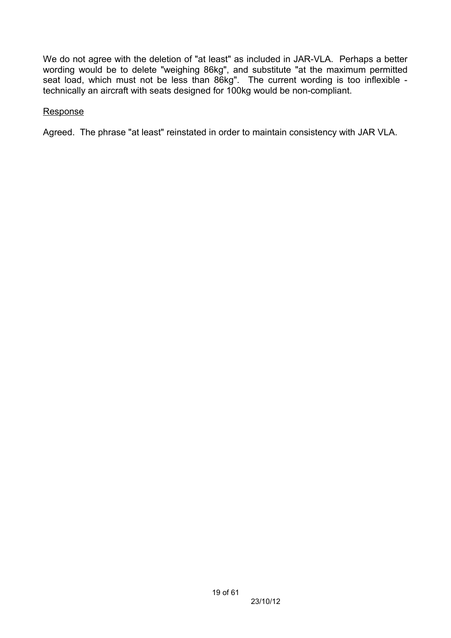We do not agree with the deletion of "at least" as included in JAR-VLA. Perhaps a better wording would be to delete "weighing 86kg", and substitute "at the maximum permitted seat load, which must not be less than 86kg". The current wording is too inflexible technically an aircraft with seats designed for 100kg would be non-compliant.

### **Response**

Agreed. The phrase "at least" reinstated in order to maintain consistency with JAR VLA.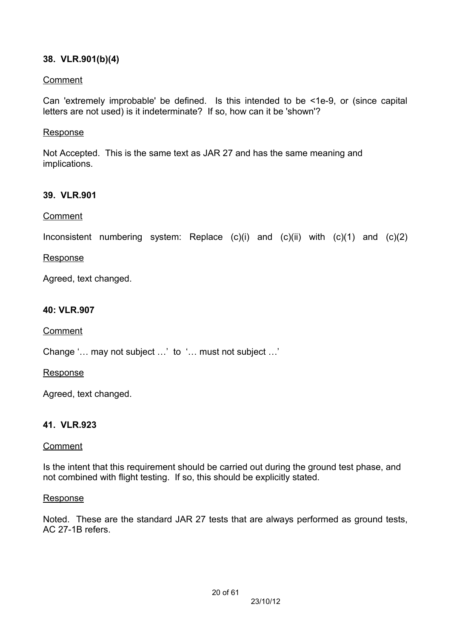## **38. VLR.901(b)(4)**

### Comment

Can 'extremely improbable' be defined. Is this intended to be <1e-9, or (since capital letters are not used) is it indeterminate? If so, how can it be 'shown'?

### Response

Not Accepted. This is the same text as JAR 27 and has the same meaning and implications.

### **39. VLR.901**

### Comment

Inconsistent numbering system: Replace  $(c)(i)$  and  $(c)(ii)$  with  $(c)(1)$  and  $(c)(2)$ 

### **Response**

Agreed, text changed.

### **40: VLR.907**

Comment

Change '… may not subject …' to '… must not subject …'

#### **Response**

Agreed, text changed.

## **41. VLR.923**

### Comment

Is the intent that this requirement should be carried out during the ground test phase, and not combined with flight testing. If so, this should be explicitly stated.

### **Response**

Noted. These are the standard JAR 27 tests that are always performed as ground tests, AC 27-1B refers.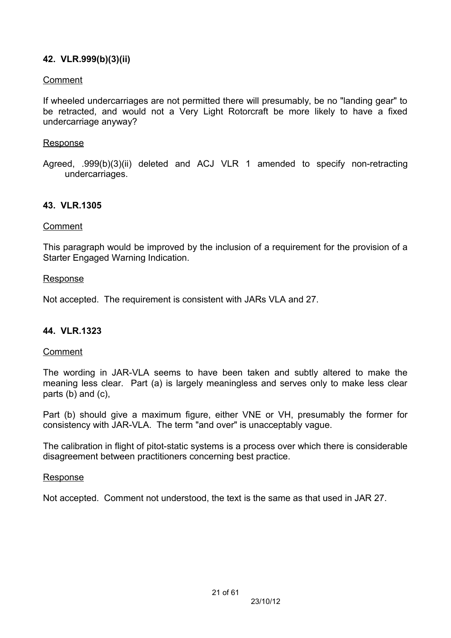## **42. VLR.999(b)(3)(ii)**

### Comment

If wheeled undercarriages are not permitted there will presumably, be no "landing gear" to be retracted, and would not a Very Light Rotorcraft be more likely to have a fixed undercarriage anyway?

### **Response**

Agreed, .999(b)(3)(ii) deleted and ACJ VLR 1 amended to specify non-retracting undercarriages.

### **43. VLR.1305**

#### Comment

This paragraph would be improved by the inclusion of a requirement for the provision of a Starter Engaged Warning Indication.

#### Response

Not accepted. The requirement is consistent with JARs VLA and 27.

### **44. VLR.1323**

### Comment

The wording in JAR-VLA seems to have been taken and subtly altered to make the meaning less clear. Part (a) is largely meaningless and serves only to make less clear parts (b) and (c),

Part (b) should give a maximum figure, either VNE or VH, presumably the former for consistency with JAR-VLA. The term "and over" is unacceptably vague.

The calibration in flight of pitot-static systems is a process over which there is considerable disagreement between practitioners concerning best practice.

#### Response

Not accepted. Comment not understood, the text is the same as that used in JAR 27.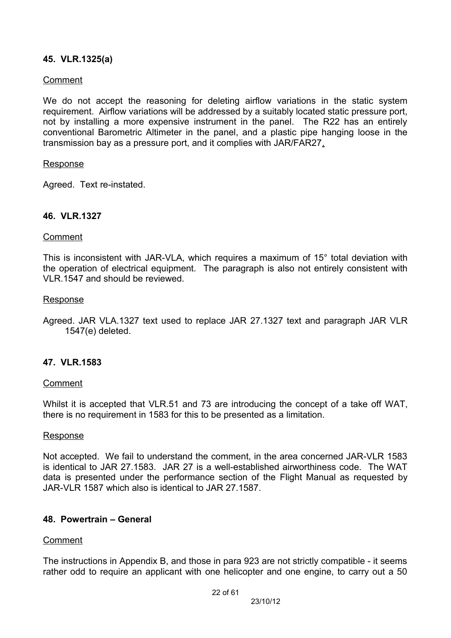### **45. VLR.1325(a)**

#### Comment

We do not accept the reasoning for deleting airflow variations in the static system requirement. Airflow variations will be addressed by a suitably located static pressure port, not by installing a more expensive instrument in the panel. The R22 has an entirely conventional Barometric Altimeter in the panel, and a plastic pipe hanging loose in the transmission bay as a pressure port, and it complies with JAR/FAR27.

#### Response

Agreed. Text re-instated.

#### **46. VLR.1327**

#### Comment

This is inconsistent with JAR-VLA, which requires a maximum of 15° total deviation with the operation of electrical equipment. The paragraph is also not entirely consistent with VLR 1547 and should be reviewed.

#### Response

Agreed. JAR VLA.1327 text used to replace JAR 27.1327 text and paragraph JAR VLR 1547(e) deleted.

#### **47. VLR.1583**

#### Comment

Whilst it is accepted that VLR.51 and 73 are introducing the concept of a take off WAT, there is no requirement in 1583 for this to be presented as a limitation.

#### Response

Not accepted. We fail to understand the comment, in the area concerned JAR-VLR 1583 is identical to JAR 27.1583. JAR 27 is a well-established airworthiness code. The WAT data is presented under the performance section of the Flight Manual as requested by JAR-VLR 1587 which also is identical to JAR 27.1587.

#### **48. Powertrain – General**

#### Comment

The instructions in Appendix B, and those in para 923 are not strictly compatible - it seems rather odd to require an applicant with one helicopter and one engine, to carry out a 50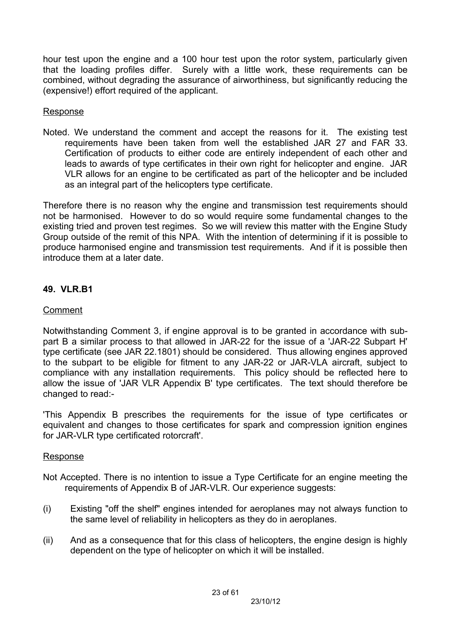hour test upon the engine and a 100 hour test upon the rotor system, particularly given that the loading profiles differ. Surely with a little work, these requirements can be combined, without degrading the assurance of airworthiness, but significantly reducing the (expensive!) effort required of the applicant.

### **Response**

Noted. We understand the comment and accept the reasons for it. The existing test requirements have been taken from well the established JAR 27 and FAR 33. Certification of products to either code are entirely independent of each other and leads to awards of type certificates in their own right for helicopter and engine. JAR VLR allows for an engine to be certificated as part of the helicopter and be included as an integral part of the helicopters type certificate.

Therefore there is no reason why the engine and transmission test requirements should not be harmonised. However to do so would require some fundamental changes to the existing tried and proven test regimes. So we will review this matter with the Engine Study Group outside of the remit of this NPA. With the intention of determining if it is possible to produce harmonised engine and transmission test requirements. And if it is possible then introduce them at a later date.

## **49. VLR.B1**

## Comment

Notwithstanding Comment 3, if engine approval is to be granted in accordance with subpart B a similar process to that allowed in JAR-22 for the issue of a 'JAR-22 Subpart H' type certificate (see JAR 22.1801) should be considered. Thus allowing engines approved to the subpart to be eligible for fitment to any JAR-22 or JAR-VLA aircraft, subject to compliance with any installation requirements. This policy should be reflected here to allow the issue of 'JAR VLR Appendix B' type certificates. The text should therefore be changed to read:-

'This Appendix B prescribes the requirements for the issue of type certificates or equivalent and changes to those certificates for spark and compression ignition engines for JAR-VLR type certificated rotorcraft'.

## Response

- Not Accepted. There is no intention to issue a Type Certificate for an engine meeting the requirements of Appendix B of JAR-VLR. Our experience suggests:
- (i) Existing "off the shelf" engines intended for aeroplanes may not always function to the same level of reliability in helicopters as they do in aeroplanes.
- (ii) And as a consequence that for this class of helicopters, the engine design is highly dependent on the type of helicopter on which it will be installed.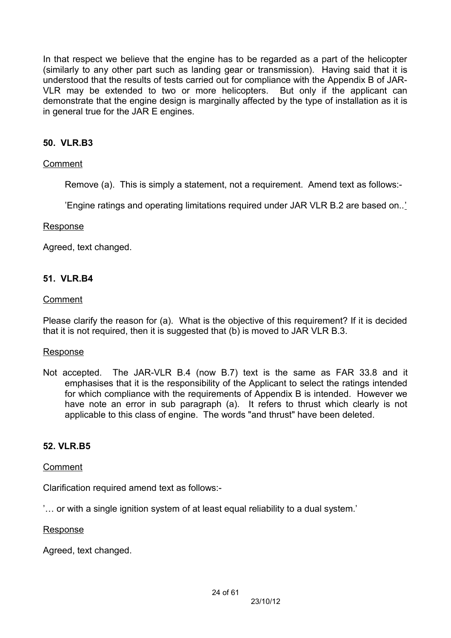In that respect we believe that the engine has to be regarded as a part of the helicopter (similarly to any other part such as landing gear or transmission). Having said that it is understood that the results of tests carried out for compliance with the Appendix B of JAR-VLR may be extended to two or more helicopters. But only if the applicant can demonstrate that the engine design is marginally affected by the type of installation as it is in general true for the JAR E engines.

## **50. VLR.B3**

### Comment

Remove (a). This is simply a statement, not a requirement. Amend text as follows:-

'Engine ratings and operating limitations required under JAR VLR B.2 are based on..'

#### Response

Agreed, text changed.

### **51. VLR.B4**

#### Comment

Please clarify the reason for (a). What is the objective of this requirement? If it is decided that it is not required, then it is suggested that (b) is moved to JAR VLR B.3.

### **Response**

Not accepted. The JAR-VLR B.4 (now B.7) text is the same as FAR 33.8 and it emphasises that it is the responsibility of the Applicant to select the ratings intended for which compliance with the requirements of Appendix B is intended. However we have note an error in sub paragraph (a). It refers to thrust which clearly is not applicable to this class of engine. The words "and thrust" have been deleted.

### **52. VLR.B5**

### Comment

Clarification required amend text as follows:-

'… or with a single ignition system of at least equal reliability to a dual system.'

#### Response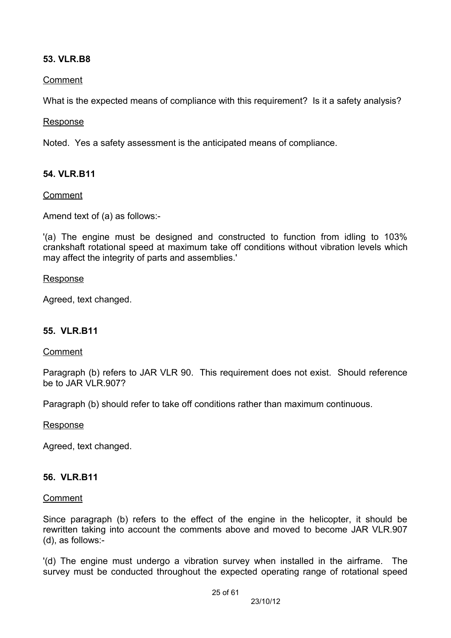### **53. VLR.B8**

### Comment

What is the expected means of compliance with this requirement? Is it a safety analysis?

#### Response

Noted. Yes a safety assessment is the anticipated means of compliance.

### **54. VLR.B11**

### Comment

Amend text of (a) as follows:-

'(a) The engine must be designed and constructed to function from idling to 103% crankshaft rotational speed at maximum take off conditions without vibration levels which may affect the integrity of parts and assemblies.'

#### Response

Agreed, text changed.

### **55. VLR.B11**

### Comment

Paragraph (b) refers to JAR VLR 90. This requirement does not exist. Should reference be to JAR VLR 907?

Paragraph (b) should refer to take off conditions rather than maximum continuous.

#### Response

Agreed, text changed.

### **56. VLR.B11**

#### Comment

Since paragraph (b) refers to the effect of the engine in the helicopter, it should be rewritten taking into account the comments above and moved to become JAR VLR.907 (d), as follows:-

'(d) The engine must undergo a vibration survey when installed in the airframe. The survey must be conducted throughout the expected operating range of rotational speed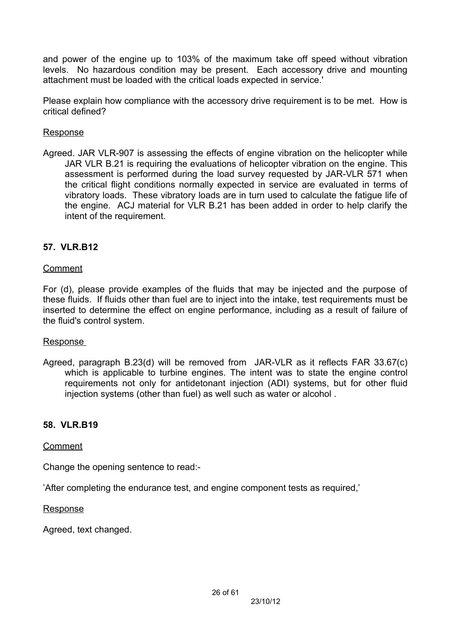and power of the engine up to 103% of the maximum take off speed without vibration levels. No hazardous condition may be present. Each accessory drive and mounting attachment must be loaded with the critical loads expected in service.'

Please explain how compliance with the accessory drive requirement is to be met. How is critical defined?

### Response

Agreed. JAR VLR-907 is assessing the effects of engine vibration on the helicopter while JAR VLR B.21 is requiring the evaluations of helicopter vibration on the engine. This assessment is performed during the load survey requested by JAR-VLR 571 when the critical flight conditions normally expected in service are evaluated in terms of vibratory loads. These vibratory loads are in turn used to calculate the fatigue life of the engine. ACJ material for VLR B.21 has been added in order to help clarify the intent of the requirement.

## **57. VLR.B12**

### Comment

For (d), please provide examples of the fluids that may be injected and the purpose of these fluids. If fluids other than fuel are to inject into the intake, test requirements must be inserted to determine the effect on engine performance, including as a result of failure of the fluid's control system.

### Response

Agreed, paragraph B.23(d) will be removed from JAR-VLR as it reflects FAR 33.67(c) which is applicable to turbine engines. The intent was to state the engine control requirements not only for antidetonant injection (ADI) systems, but for other fluid injection systems (other than fuel) as well such as water or alcohol .

## **58. VLR.B19**

### Comment

Change the opening sentence to read:-

'After completing the endurance test, and engine component tests as required,'

**Response**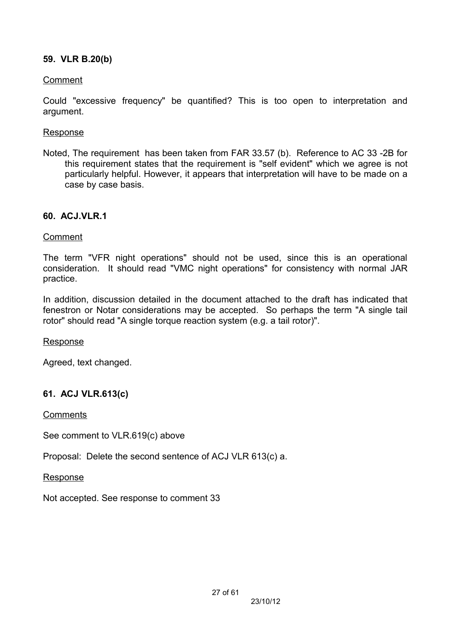## **59. VLR B.20(b)**

### Comment

Could "excessive frequency" be quantified? This is too open to interpretation and argument.

### Response

Noted, The requirement has been taken from FAR 33.57 (b). Reference to AC 33 -2B for this requirement states that the requirement is "self evident" which we agree is not particularly helpful. However, it appears that interpretation will have to be made on a case by case basis.

### **60. ACJ.VLR.1**

### Comment

The term "VFR night operations" should not be used, since this is an operational consideration. It should read "VMC night operations" for consistency with normal JAR practice.

In addition, discussion detailed in the document attached to the draft has indicated that fenestron or Notar considerations may be accepted. So perhaps the term "A single tail rotor" should read "A single torque reaction system (e.g. a tail rotor)".

Response

Agreed, text changed.

## **61. ACJ VLR.613(c)**

**Comments** 

See comment to VLR.619(c) above

Proposal: Delete the second sentence of ACJ VLR 613(c) a.

Response

Not accepted. See response to comment 33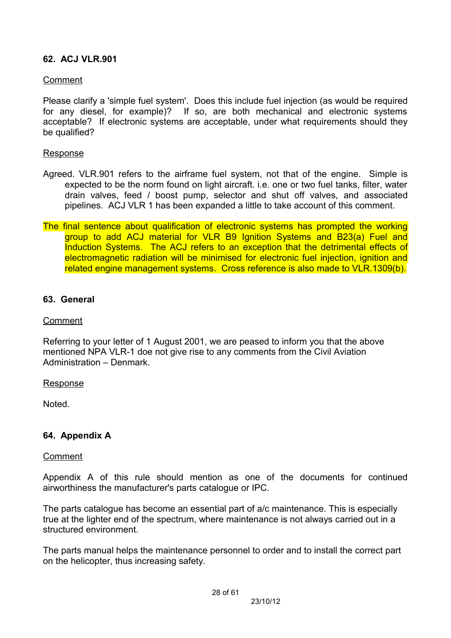## **62. ACJ VLR.901**

#### Comment

Please clarify a 'simple fuel system'. Does this include fuel injection (as would be required for any diesel, for example)? If so, are both mechanical and electronic systems acceptable? If electronic systems are acceptable, under what requirements should they be qualified?

#### Response

- Agreed. VLR.901 refers to the airframe fuel system, not that of the engine. Simple is expected to be the norm found on light aircraft. i.e. one or two fuel tanks, filter, water drain valves, feed / boost pump, selector and shut off valves, and associated pipelines. ACJ VLR 1 has been expanded a little to take account of this comment.
- The final sentence about qualification of electronic systems has prompted the working group to add ACJ material for VLR B9 Ignition Systems and B23(a) Fuel and Induction Systems. The ACJ refers to an exception that the detrimental effects of electromagnetic radiation will be minimised for electronic fuel injection, ignition and related engine management systems. Cross reference is also made to VLR.1309(b).

#### **63. General**

#### Comment

Referring to your letter of 1 August 2001, we are peased to inform you that the above mentioned NPA VLR-1 doe not give rise to any comments from the Civil Aviation Administration – Denmark.

#### Response

**Noted** 

### **64. Appendix A**

#### Comment

Appendix A of this rule should mention as one of the documents for continued airworthiness the manufacturer's parts catalogue or IPC.

The parts catalogue has become an essential part of a/c maintenance. This is especially true at the lighter end of the spectrum, where maintenance is not always carried out in a structured environment.

The parts manual helps the maintenance personnel to order and to install the correct part on the helicopter, thus increasing safety.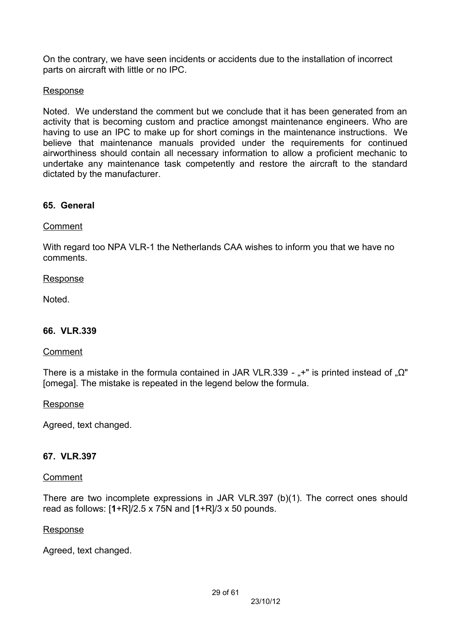On the contrary, we have seen incidents or accidents due to the installation of incorrect parts on aircraft with little or no IPC.

### Response

Noted. We understand the comment but we conclude that it has been generated from an activity that is becoming custom and practice amongst maintenance engineers. Who are having to use an IPC to make up for short comings in the maintenance instructions. We believe that maintenance manuals provided under the requirements for continued airworthiness should contain all necessary information to allow a proficient mechanic to undertake any maintenance task competently and restore the aircraft to the standard dictated by the manufacturer.

### **65. General**

### Comment

With regard too NPA VLR-1 the Netherlands CAA wishes to inform you that we have no comments.

### Response

Noted.

### **66. VLR.339**

### Comment

There is a mistake in the formula contained in JAR VLR.339 -  $*$ " is printed instead of  $\Omega$ " [omega]. The mistake is repeated in the legend below the formula.

#### Response

Agreed, text changed.

## **67. VLR.397**

### **Comment**

There are two incomplete expressions in JAR VLR.397 (b)(1). The correct ones should read as follows: [**1**+R]/2.5 x 75N and [**1**+R]/3 x 50 pounds.

#### Response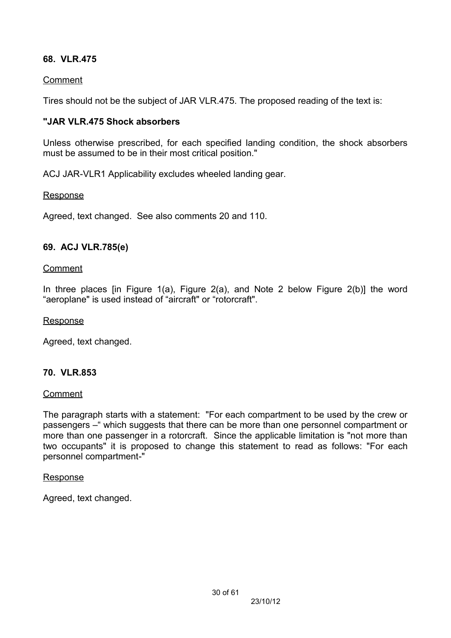## **68. VLR.475**

### Comment

Tires should not be the subject of JAR VLR.475. The proposed reading of the text is:

### **"JAR VLR.475 Shock absorbers**

Unless otherwise prescribed, for each specified landing condition, the shock absorbers must be assumed to be in their most critical position."

ACJ JAR-VLR1 Applicability excludes wheeled landing gear.

### Response

Agreed, text changed. See also comments 20 and 110.

### **69. ACJ VLR.785(e)**

#### Comment

In three places [in Figure 1(a), Figure 2(a), and Note 2 below Figure 2(b)] the word "aeroplane" is used instead of "aircraft" or "rotorcraft".

#### Response

Agreed, text changed.

## **70. VLR.853**

### Comment

The paragraph starts with a statement: "For each compartment to be used by the crew or passengers –" which suggests that there can be more than one personnel compartment or more than one passenger in a rotorcraft. Since the applicable limitation is "not more than two occupants" it is proposed to change this statement to read as follows: "For each personnel compartment-"

#### Response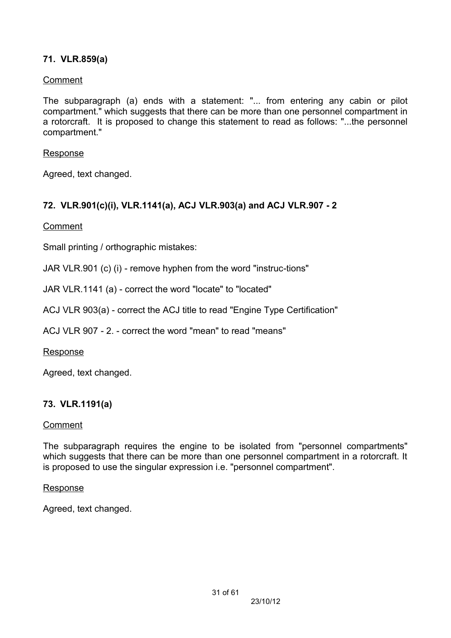## **71. VLR.859(a)**

### Comment

The subparagraph (a) ends with a statement: "... from entering any cabin or pilot compartment." which suggests that there can be more than one personnel compartment in a rotorcraft. It is proposed to change this statement to read as follows: "...the personnel compartment."

#### Response

Agreed, text changed.

## **72. VLR.901(c)(i), VLR.1141(a), ACJ VLR.903(a) and ACJ VLR.907 - 2**

### Comment

Small printing / orthographic mistakes:

JAR VLR.901 (c) (i) - remove hyphen from the word "instruc-tions"

JAR VLR.1141 (a) - correct the word "locate" to "located"

ACJ VLR 903(a) - correct the ACJ title to read "Engine Type Certification"

ACJ VLR 907 - 2. - correct the word "mean" to read "means"

### **Response**

Agreed, text changed.

## **73. VLR.1191(a)**

### Comment

The subparagraph requires the engine to be isolated from "personnel compartments" which suggests that there can be more than one personnel compartment in a rotorcraft. It is proposed to use the singular expression i.e. "personnel compartment".

#### Response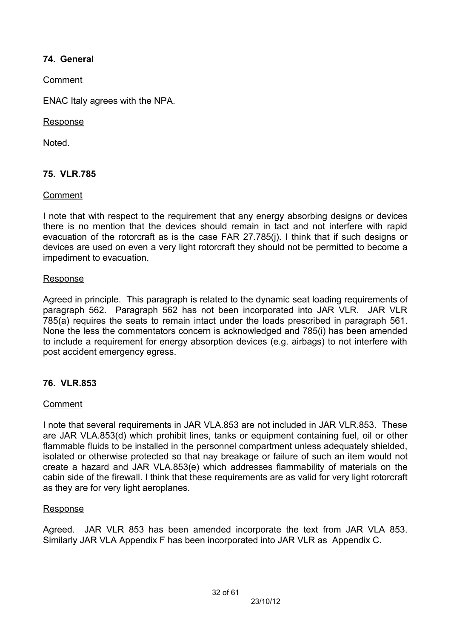## **74. General**

Comment

ENAC Italy agrees with the NPA.

### Response

Noted.

## **75. VLR.785**

### Comment

I note that with respect to the requirement that any energy absorbing designs or devices there is no mention that the devices should remain in tact and not interfere with rapid evacuation of the rotorcraft as is the case FAR 27.785(j). I think that if such designs or devices are used on even a very light rotorcraft they should not be permitted to become a impediment to evacuation.

### Response

Agreed in principle. This paragraph is related to the dynamic seat loading requirements of paragraph 562. Paragraph 562 has not been incorporated into JAR VLR. JAR VLR 785(a) requires the seats to remain intact under the loads prescribed in paragraph 561. None the less the commentators concern is acknowledged and 785(i) has been amended to include a requirement for energy absorption devices (e.g. airbags) to not interfere with post accident emergency egress.

## **76. VLR.853**

## Comment

I note that several requirements in JAR VLA.853 are not included in JAR VLR.853. These are JAR VLA.853(d) which prohibit lines, tanks or equipment containing fuel, oil or other flammable fluids to be installed in the personnel compartment unless adequately shielded, isolated or otherwise protected so that nay breakage or failure of such an item would not create a hazard and JAR VLA.853(e) which addresses flammability of materials on the cabin side of the firewall. I think that these requirements are as valid for very light rotorcraft as they are for very light aeroplanes.

### **Response**

Agreed. JAR VLR 853 has been amended incorporate the text from JAR VLA 853. Similarly JAR VLA Appendix F has been incorporated into JAR VLR as Appendix C.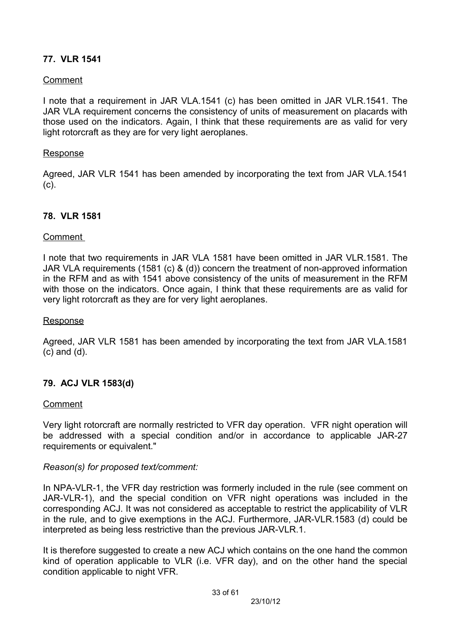## **77. VLR 1541**

### Comment

I note that a requirement in JAR VLA.1541 (c) has been omitted in JAR VLR.1541. The JAR VLA requirement concerns the consistency of units of measurement on placards with those used on the indicators. Again, I think that these requirements are as valid for very light rotorcraft as they are for very light aeroplanes.

#### Response

Agreed, JAR VLR 1541 has been amended by incorporating the text from JAR VLA.1541 (c).

### **78. VLR 1581**

### Comment

I note that two requirements in JAR VLA 1581 have been omitted in JAR VLR.1581. The JAR VLA requirements (1581 (c) & (d)) concern the treatment of non-approved information in the RFM and as with 1541 above consistency of the units of measurement in the RFM with those on the indicators. Once again, I think that these requirements are as valid for very light rotorcraft as they are for very light aeroplanes.

#### Response

Agreed, JAR VLR 1581 has been amended by incorporating the text from JAR VLA.1581 (c) and (d).

### **79. ACJ VLR 1583(d)**

#### Comment

Very light rotorcraft are normally restricted to VFR day operation. VFR night operation will be addressed with a special condition and/or in accordance to applicable JAR-27 requirements or equivalent."

### *Reason(s) for proposed text/comment:*

In NPA-VLR-1, the VFR day restriction was formerly included in the rule (see comment on JAR-VLR-1), and the special condition on VFR night operations was included in the corresponding ACJ. It was not considered as acceptable to restrict the applicability of VLR in the rule, and to give exemptions in the ACJ. Furthermore, JAR-VLR.1583 (d) could be interpreted as being less restrictive than the previous JAR-VLR.1.

It is therefore suggested to create a new ACJ which contains on the one hand the common kind of operation applicable to VLR (i.e. VFR day), and on the other hand the special condition applicable to night VFR.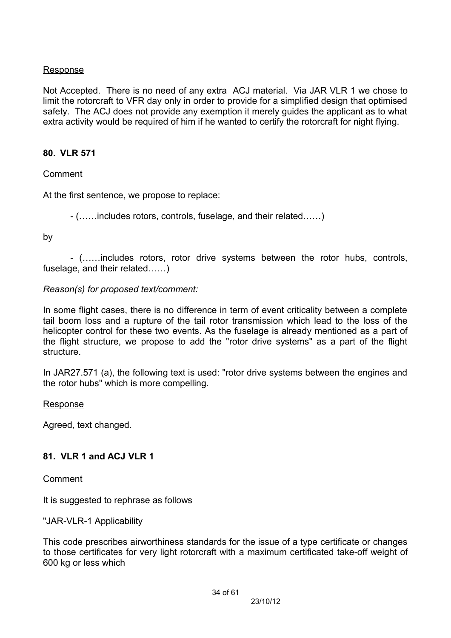### **Response**

Not Accepted. There is no need of any extra ACJ material. Via JAR VLR 1 we chose to limit the rotorcraft to VFR day only in order to provide for a simplified design that optimised safety. The ACJ does not provide any exemption it merely guides the applicant as to what extra activity would be required of him if he wanted to certify the rotorcraft for night flying.

### **80. VLR 571**

### Comment

At the first sentence, we propose to replace:

- (……includes rotors, controls, fuselage, and their related……)

by

- (……includes rotors, rotor drive systems between the rotor hubs, controls, fuselage, and their related……)

### *Reason(s) for proposed text/comment:*

In some flight cases, there is no difference in term of event criticality between a complete tail boom loss and a rupture of the tail rotor transmission which lead to the loss of the helicopter control for these two events. As the fuselage is already mentioned as a part of the flight structure, we propose to add the "rotor drive systems" as a part of the flight structure.

In JAR27.571 (a), the following text is used: "rotor drive systems between the engines and the rotor hubs" which is more compelling.

#### Response

Agreed, text changed.

### **81. VLR 1 and ACJ VLR 1**

Comment

It is suggested to rephrase as follows

### "JAR-VLR-1 Applicability

This code prescribes airworthiness standards for the issue of a type certificate or changes to those certificates for very light rotorcraft with a maximum certificated take-off weight of 600 kg or less which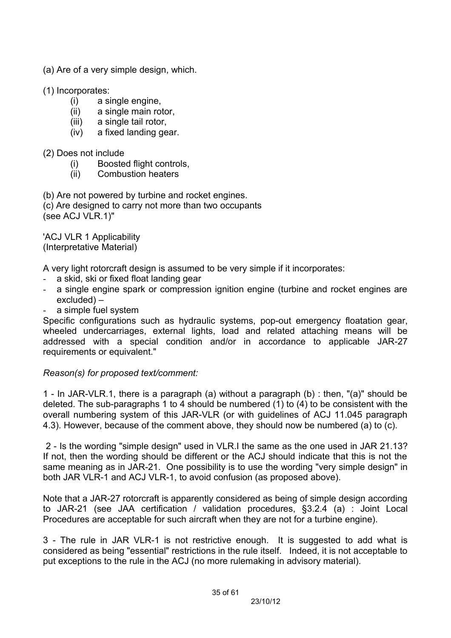- (a) Are of a very simple design, which.
- (1) Incorporates:
	- (i) a single engine,
	- (ii) a single main rotor,
	- (iii) a single tail rotor,
	- (iv) a fixed landing gear.
- (2) Does not include
	- (i) Boosted flight controls,
	- (ii) Combustion heaters

(b) Are not powered by turbine and rocket engines.

(c) Are designed to carry not more than two occupants (see ACJ VLR.1)"

'ACJ VLR 1 Applicability (Interpretative Material)

A very light rotorcraft design is assumed to be very simple if it incorporates:

- a skid, ski or fixed float landing gear
- a single engine spark or compression ignition engine (turbine and rocket engines are excluded) –
- a simple fuel system

Specific configurations such as hydraulic systems, pop-out emergency floatation gear, wheeled undercarriages, external lights, load and related attaching means will be addressed with a special condition and/or in accordance to applicable JAR-27 requirements or equivalent."

### *Reason(s) for proposed text/comment:*

1 - In JAR-VLR.1, there is a paragraph (a) without a paragraph (b) : then, "(a)" should be deleted. The sub-paragraphs 1 to 4 should be numbered (1) to (4) to be consistent with the overall numbering system of this JAR-VLR (or with guidelines of ACJ 11.045 paragraph 4.3). However, because of the comment above, they should now be numbered (a) to (c).

2 - Is the wording "simple design" used in VLR.I the same as the one used in JAR 21.13? If not, then the wording should be different or the ACJ should indicate that this is not the same meaning as in JAR-21. One possibility is to use the wording "very simple design" in both JAR VLR-1 and ACJ VLR-1, to avoid confusion (as proposed above).

Note that a JAR-27 rotorcraft is apparently considered as being of simple design according to JAR-21 (see JAA certification / validation procedures, §3.2.4 (a) : Joint Local Procedures are acceptable for such aircraft when they are not for a turbine engine).

3 - The rule in JAR VLR-1 is not restrictive enough. It is suggested to add what is considered as being "essential" restrictions in the rule itself. Indeed, it is not acceptable to put exceptions to the rule in the ACJ (no more rulemaking in advisory material).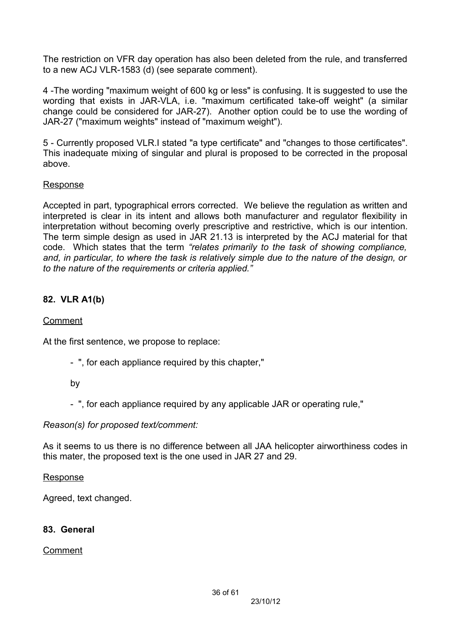The restriction on VFR day operation has also been deleted from the rule, and transferred to a new ACJ VLR-1583 (d) (see separate comment).

4 -The wording "maximum weight of 600 kg or less" is confusing. It is suggested to use the wording that exists in JAR-VLA, i.e. "maximum certificated take-off weight" (a similar change could be considered for JAR-27). Another option could be to use the wording of JAR-27 ("maximum weights" instead of "maximum weight").

5 - Currently proposed VLR.I stated "a type certificate" and "changes to those certificates". This inadequate mixing of singular and plural is proposed to be corrected in the proposal above.

### Response

Accepted in part, typographical errors corrected. We believe the regulation as written and interpreted is clear in its intent and allows both manufacturer and regulator flexibility in interpretation without becoming overly prescriptive and restrictive, which is our intention. The term simple design as used in JAR 21.13 is interpreted by the ACJ material for that code. Which states that the term *"relates primarily to the task of showing compliance, and, in particular, to where the task is relatively simple due to the nature of the design, or to the nature of the requirements or criteria applied."*

## **82. VLR A1(b)**

### Comment

At the first sentence, we propose to replace:

- ", for each appliance required by this chapter,"

### by

- ", for each appliance required by any applicable JAR or operating rule,"

### *Reason(s) for proposed text/comment:*

As it seems to us there is no difference between all JAA helicopter airworthiness codes in this mater, the proposed text is the one used in JAR 27 and 29.

### Response

Agreed, text changed.

## **83. General**

Comment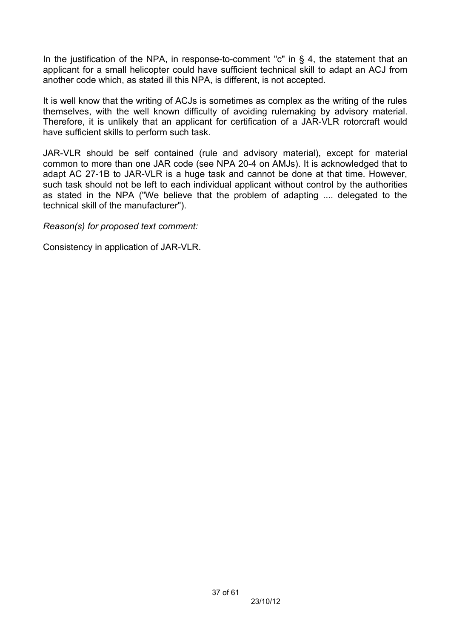In the justification of the NPA, in response-to-comment "c" in  $\S$  4, the statement that an applicant for a small helicopter could have sufficient technical skill to adapt an ACJ from another code which, as stated ill this NPA, is different, is not accepted.

It is well know that the writing of ACJs is sometimes as complex as the writing of the rules themselves, with the well known difficulty of avoiding rulemaking by advisory material. Therefore, it is unlikely that an applicant for certification of a JAR-VLR rotorcraft would have sufficient skills to perform such task.

JAR-VLR should be self contained (rule and advisory material), except for material common to more than one JAR code (see NPA 20-4 on AMJs). It is acknowledged that to adapt AC 27-1B to JAR-VLR is a huge task and cannot be done at that time. However, such task should not be left to each individual applicant without control by the authorities as stated in the NPA ("We believe that the problem of adapting .... delegated to the technical skill of the manufacturer").

*Reason(s) for proposed text comment:*

Consistency in application of JAR-VLR.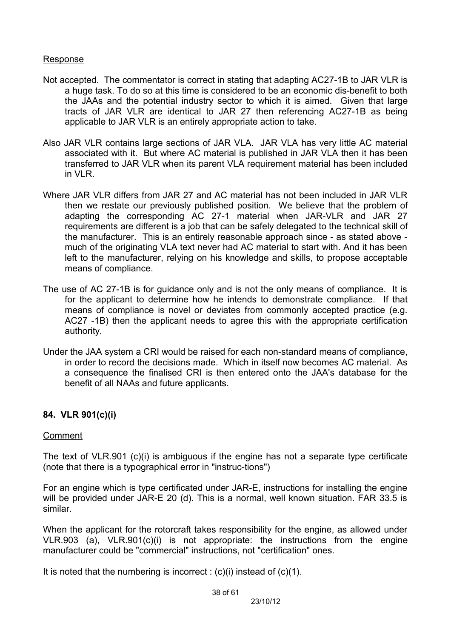### Response

- Not accepted. The commentator is correct in stating that adapting AC27-1B to JAR VLR is a huge task. To do so at this time is considered to be an economic dis-benefit to both the JAAs and the potential industry sector to which it is aimed. Given that large tracts of JAR VLR are identical to JAR 27 then referencing AC27-1B as being applicable to JAR VLR is an entirely appropriate action to take.
- Also JAR VLR contains large sections of JAR VLA. JAR VLA has very little AC material associated with it. But where AC material is published in JAR VLA then it has been transferred to JAR VLR when its parent VLA requirement material has been included in VLR.
- Where JAR VLR differs from JAR 27 and AC material has not been included in JAR VLR then we restate our previously published position. We believe that the problem of adapting the corresponding AC 27-1 material when JAR-VLR and JAR 27 requirements are different is a job that can be safely delegated to the technical skill of the manufacturer. This is an entirely reasonable approach since - as stated above much of the originating VLA text never had AC material to start with. And it has been left to the manufacturer, relying on his knowledge and skills, to propose acceptable means of compliance.
- The use of AC 27-1B is for guidance only and is not the only means of compliance. It is for the applicant to determine how he intends to demonstrate compliance. If that means of compliance is novel or deviates from commonly accepted practice (e.g. AC27 -1B) then the applicant needs to agree this with the appropriate certification authority.
- Under the JAA system a CRI would be raised for each non-standard means of compliance, in order to record the decisions made. Which in itself now becomes AC material. As a consequence the finalised CRI is then entered onto the JAA's database for the benefit of all NAAs and future applicants.

## **84. VLR 901(c)(i)**

### Comment

The text of VLR.901 (c)(i) is ambiguous if the engine has not a separate type certificate (note that there is a typographical error in "instruc-tions")

For an engine which is type certificated under JAR-E, instructions for installing the engine will be provided under JAR-E 20 (d). This is a normal, well known situation. FAR 33.5 is similar.

When the applicant for the rotorcraft takes responsibility for the engine, as allowed under VLR.903 (a), VLR.901(c)(i) is not appropriate: the instructions from the engine manufacturer could be "commercial" instructions, not "certification" ones.

It is noted that the numbering is incorrect :  $(c)(i)$  instead of  $(c)(1)$ .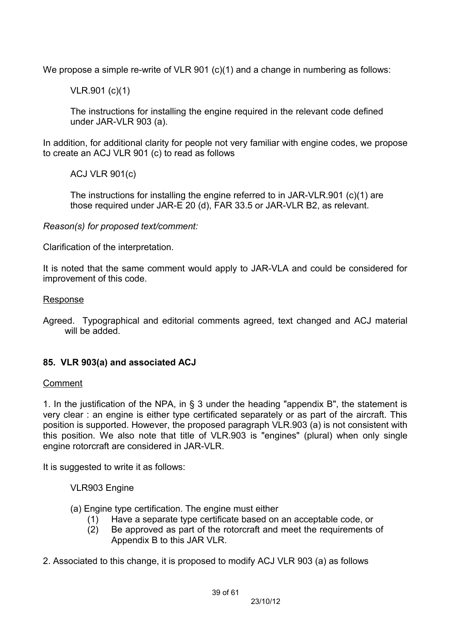We propose a simple re-write of VLR 901 (c)(1) and a change in numbering as follows:

VLR.901 (c)(1)

The instructions for installing the engine required in the relevant code defined under JAR-VLR 903 (a).

In addition, for additional clarity for people not very familiar with engine codes, we propose to create an ACJ VLR 901 (c) to read as follows

ACJ VLR 901(c)

The instructions for installing the engine referred to in JAR-VLR.901 (c)(1) are those required under JAR-E 20 (d), FAR 33.5 or JAR-VLR B2, as relevant.

*Reason(s) for proposed text/comment:*

Clarification of the interpretation.

It is noted that the same comment would apply to JAR-VLA and could be considered for improvement of this code.

#### Response

Agreed. Typographical and editorial comments agreed, text changed and ACJ material will be added.

## **85. VLR 903(a) and associated ACJ**

### Comment

1. In the justification of the NPA, in § 3 under the heading "appendix B", the statement is very clear : an engine is either type certificated separately or as part of the aircraft. This position is supported. However, the proposed paragraph VLR.903 (a) is not consistent with this position. We also note that title of VLR.903 is "engines" (plural) when only single engine rotorcraft are considered in JAR-VLR.

It is suggested to write it as follows:

VLR903 Engine

- (a) Engine type certification. The engine must either
	- (1) Have a separate type certificate based on an acceptable code, or
	- (2) Be approved as part of the rotorcraft and meet the requirements of Appendix B to this JAR VLR.
- 2. Associated to this change, it is proposed to modify ACJ VLR 903 (a) as follows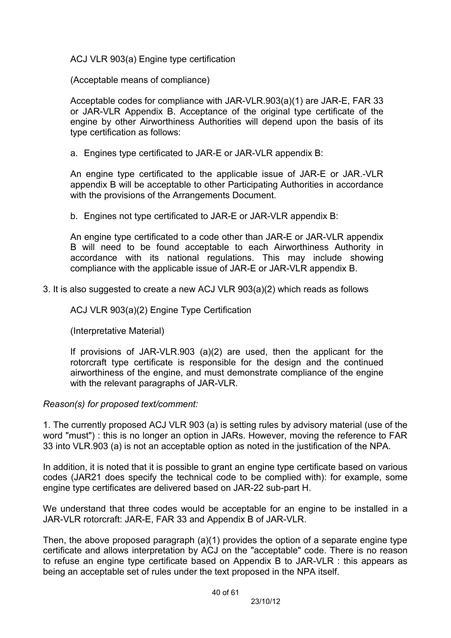ACJ VLR 903(a) Engine type certification

(Acceptable means of compliance)

Acceptable codes for compliance with JAR-VLR.903(a)(1) are JAR-E, FAR 33 or JAR-VLR Appendix B. Acceptance of the original type certificate of the engine by other Airworthiness Authorities will depend upon the basis of its type certification as follows:

a. Engines type certificated to JAR-E or JAR-VLR appendix B:

An engine type certificated to the applicable issue of JAR-E or JAR.-VLR appendix B will be acceptable to other Participating Authorities in accordance with the provisions of the Arrangements Document.

b. Engines not type certificated to JAR-E or JAR-VLR appendix B:

An engine type certificated to a code other than JAR-E or JAR-VLR appendix B will need to be found acceptable to each Airworthiness Authority in accordance with its national regulations. This may include showing compliance with the applicable issue of JAR-E or JAR-VLR appendix B.

3. It is also suggested to create a new ACJ VLR 903(a)(2) which reads as follows

ACJ VLR 903(a)(2) Engine Type Certification

(Interpretative Material)

If provisions of JAR-VLR.903 (a)(2) are used, then the applicant for the rotorcraft type certificate is responsible for the design and the continued airworthiness of the engine, and must demonstrate compliance of the engine with the relevant paragraphs of JAR-VLR.

## *Reason(s) for proposed text/comment:*

1. The currently proposed ACJ VLR 903 (a) is setting rules by advisory material (use of the word "must") : this is no longer an option in JARs. However, moving the reference to FAR 33 into VLR.903 (a) is not an acceptable option as noted in the justification of the NPA.

In addition, it is noted that it is possible to grant an engine type certificate based on various codes (JAR21 does specify the technical code to be complied with): for example, some engine type certificates are delivered based on JAR-22 sub-part H.

We understand that three codes would be acceptable for an engine to be installed in a JAR-VLR rotorcraft: JAR-E, FAR 33 and Appendix B of JAR-VLR.

Then, the above proposed paragraph (a)(1) provides the option of a separate engine type certificate and allows interpretation by ACJ on the "acceptable" code. There is no reason to refuse an engine type certificate based on Appendix B to JAR-VLR : this appears as being an acceptable set of rules under the text proposed in the NPA itself.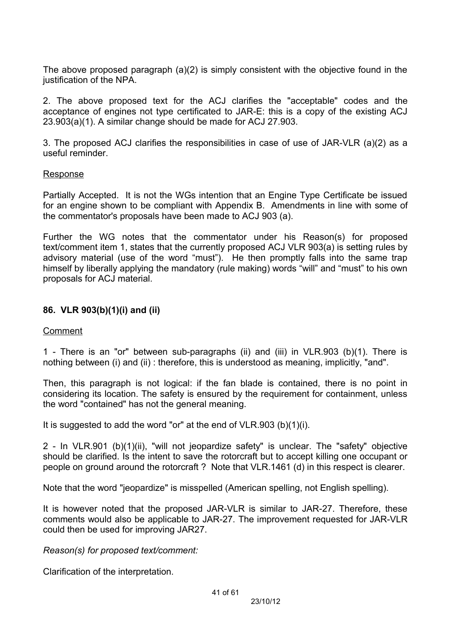The above proposed paragraph (a)(2) is simply consistent with the objective found in the justification of the NPA.

2. The above proposed text for the ACJ clarifies the "acceptable" codes and the acceptance of engines not type certificated to JAR-E: this is a copy of the existing ACJ 23.903(a)(1). A similar change should be made for ACJ 27.903.

3. The proposed ACJ clarifies the responsibilities in case of use of JAR-VLR (a)(2) as a useful reminder.

#### Response

Partially Accepted. It is not the WGs intention that an Engine Type Certificate be issued for an engine shown to be compliant with Appendix B. Amendments in line with some of the commentator's proposals have been made to ACJ 903 (a).

Further the WG notes that the commentator under his Reason(s) for proposed text/comment item 1, states that the currently proposed ACJ VLR 903(a) is setting rules by advisory material (use of the word "must"). He then promptly falls into the same trap himself by liberally applying the mandatory (rule making) words "will" and "must" to his own proposals for ACJ material.

### **86. VLR 903(b)(1)(i) and (ii)**

### Comment

1 - There is an "or" between sub-paragraphs (ii) and (iii) in VLR.903 (b)(1). There is nothing between (i) and (ii) : therefore, this is understood as meaning, implicitly, "and".

Then, this paragraph is not logical: if the fan blade is contained, there is no point in considering its location. The safety is ensured by the requirement for containment, unless the word "contained" has not the general meaning.

It is suggested to add the word "or" at the end of VLR.903 (b)(1)(i).

2 - In VLR.901 (b)(1)(ii), "will not jeopardize safety" is unclear. The "safety" objective should be clarified. Is the intent to save the rotorcraft but to accept killing one occupant or people on ground around the rotorcraft ? Note that VLR.1461 (d) in this respect is clearer.

Note that the word "jeopardize" is misspelled (American spelling, not English spelling).

It is however noted that the proposed JAR-VLR is similar to JAR-27. Therefore, these comments would also be applicable to JAR-27. The improvement requested for JAR-VLR could then be used for improving JAR27.

*Reason(s) for proposed text/comment:*

Clarification of the interpretation.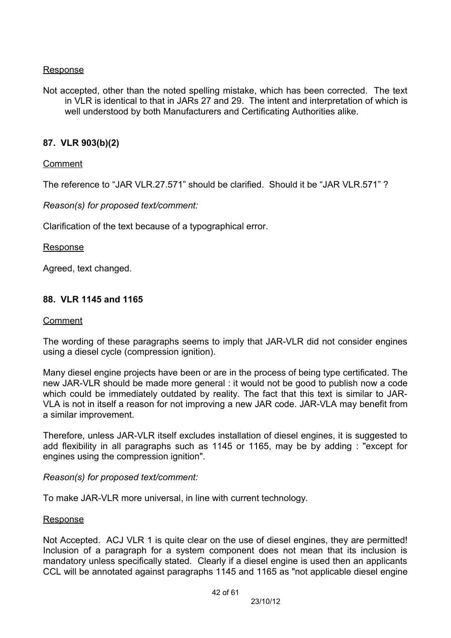### Response

Not accepted, other than the noted spelling mistake, which has been corrected. The text in VLR is identical to that in JARs 27 and 29. The intent and interpretation of which is well understood by both Manufacturers and Certificating Authorities alike.

### **87. VLR 903(b)(2)**

### Comment

The reference to "JAR VLR.27.571" should be clarified. Should it be "JAR VLR.571" ?

*Reason(s) for proposed text/comment:*

Clarification of the text because of a typographical error.

#### Response

Agreed, text changed.

### **88. VLR 1145 and 1165**

#### Comment

The wording of these paragraphs seems to imply that JAR-VLR did not consider engines using a diesel cycle (compression ignition).

Many diesel engine projects have been or are in the process of being type certificated. The new JAR-VLR should be made more general : it would not be good to publish now a code which could be immediately outdated by reality. The fact that this text is similar to JAR-VLA is not in itself a reason for not improving a new JAR code. JAR-VLA may benefit from a similar improvement.

Therefore, unless JAR-VLR itself excludes installation of diesel engines, it is suggested to add flexibility in all paragraphs such as 1145 or 1165, may be by adding : "except for engines using the compression ignition".

### *Reason(s) for proposed text/comment:*

To make JAR-VLR more universal, in line with current technology.

#### Response

Not Accepted. ACJ VLR 1 is quite clear on the use of diesel engines, they are permitted! Inclusion of a paragraph for a system component does not mean that its inclusion is mandatory unless specifically stated. Clearly if a diesel engine is used then an applicants CCL will be annotated against paragraphs 1145 and 1165 as "not applicable diesel engine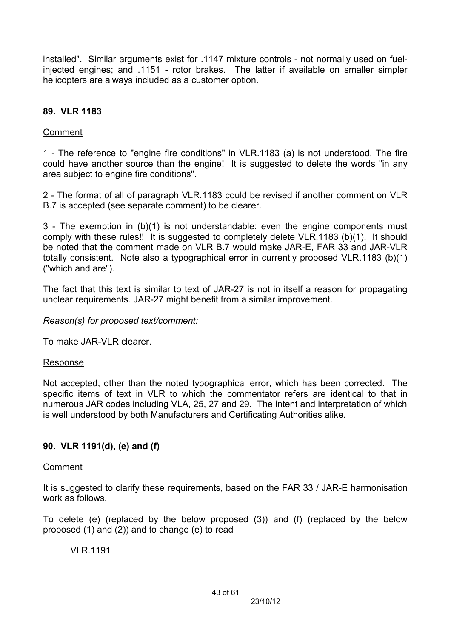installed". Similar arguments exist for .1147 mixture controls - not normally used on fuelinjected engines; and .1151 - rotor brakes. The latter if available on smaller simpler helicopters are always included as a customer option.

## **89. VLR 1183**

## Comment

1 - The reference to "engine fire conditions" in VLR.1183 (a) is not understood. The fire could have another source than the engine! It is suggested to delete the words "in any area subject to engine fire conditions".

2 - The format of all of paragraph VLR.1183 could be revised if another comment on VLR B.7 is accepted (see separate comment) to be clearer.

3 - The exemption in (b)(1) is not understandable: even the engine components must comply with these rules!! It is suggested to completely delete VLR.1183 (b)(1). It should be noted that the comment made on VLR B.7 would make JAR-E, FAR 33 and JAR-VLR totally consistent. Note also a typographical error in currently proposed VLR.1183 (b)(1) ("which and are").

The fact that this text is similar to text of JAR-27 is not in itself a reason for propagating unclear requirements. JAR-27 might benefit from a similar improvement.

*Reason(s) for proposed text/comment:*

To make JAR-VLR clearer.

## Response

Not accepted, other than the noted typographical error, which has been corrected. The specific items of text in VLR to which the commentator refers are identical to that in numerous JAR codes including VLA, 25, 27 and 29. The intent and interpretation of which is well understood by both Manufacturers and Certificating Authorities alike.

## **90. VLR 1191(d), (e) and (f)**

## Comment

It is suggested to clarify these requirements, based on the FAR 33 / JAR-E harmonisation work as follows.

To delete (e) (replaced by the below proposed (3)) and (f) (replaced by the below proposed (1) and (2)) and to change (e) to read

VLR.1191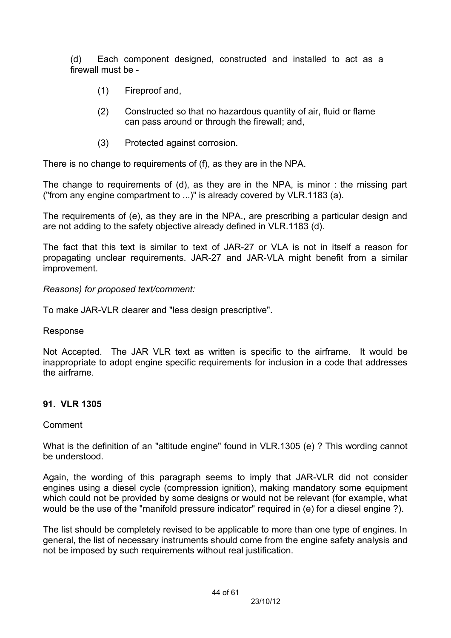(d) Each component designed, constructed and installed to act as a firewall must be -

- (1) Fireproof and,
- (2) Constructed so that no hazardous quantity of air, fluid or flame can pass around or through the firewall; and,
- (3) Protected against corrosion.

There is no change to requirements of (f), as they are in the NPA.

The change to requirements of (d), as they are in the NPA, is minor : the missing part ("from any engine compartment to ...)" is already covered by VLR.1183 (a).

The requirements of (e), as they are in the NPA., are prescribing a particular design and are not adding to the safety objective already defined in VLR.1183 (d).

The fact that this text is similar to text of JAR-27 or VLA is not in itself a reason for propagating unclear requirements. JAR-27 and JAR-VLA might benefit from a similar improvement.

### *Reasons) for proposed text/comment:*

To make JAR-VLR clearer and "less design prescriptive".

### Response

Not Accepted. The JAR VLR text as written is specific to the airframe. It would be inappropriate to adopt engine specific requirements for inclusion in a code that addresses the airframe.

## **91. VLR 1305**

### **Comment**

What is the definition of an "altitude engine" found in VLR.1305 (e) ? This wording cannot be understood.

Again, the wording of this paragraph seems to imply that JAR-VLR did not consider engines using a diesel cycle (compression ignition), making mandatory some equipment which could not be provided by some designs or would not be relevant (for example, what would be the use of the "manifold pressure indicator" required in (e) for a diesel engine ?).

The list should be completely revised to be applicable to more than one type of engines. In general, the list of necessary instruments should come from the engine safety analysis and not be imposed by such requirements without real justification.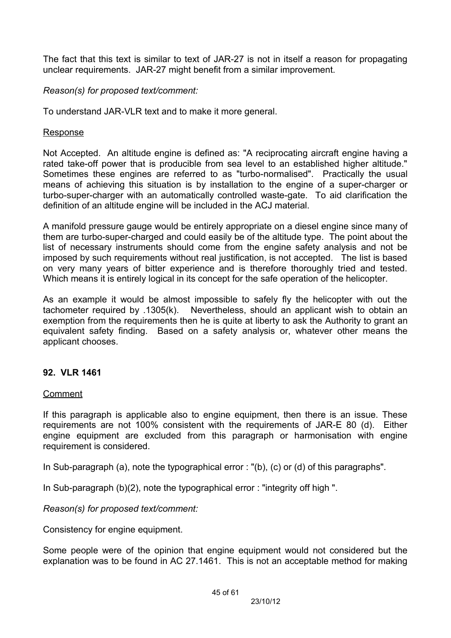The fact that this text is similar to text of JAR-27 is not in itself a reason for propagating unclear requirements. JAR-27 might benefit from a similar improvement.

### *Reason(s) for proposed text/comment:*

To understand JAR-VLR text and to make it more general.

### Response

Not Accepted. An altitude engine is defined as: "A reciprocating aircraft engine having a rated take-off power that is producible from sea level to an established higher altitude." Sometimes these engines are referred to as "turbo-normalised". Practically the usual means of achieving this situation is by installation to the engine of a super-charger or turbo-super-charger with an automatically controlled waste-gate. To aid clarification the definition of an altitude engine will be included in the ACJ material.

A manifold pressure gauge would be entirely appropriate on a diesel engine since many of them are turbo-super-charged and could easily be of the altitude type. The point about the list of necessary instruments should come from the engine safety analysis and not be imposed by such requirements without real justification, is not accepted. The list is based on very many years of bitter experience and is therefore thoroughly tried and tested. Which means it is entirely logical in its concept for the safe operation of the helicopter.

As an example it would be almost impossible to safely fly the helicopter with out the tachometer required by .1305(k). Nevertheless, should an applicant wish to obtain an exemption from the requirements then he is quite at liberty to ask the Authority to grant an equivalent safety finding. Based on a safety analysis or, whatever other means the applicant chooses.

### **92. VLR 1461**

Comment

If this paragraph is applicable also to engine equipment, then there is an issue. These requirements are not 100% consistent with the requirements of JAR-E 80 (d). Either engine equipment are excluded from this paragraph or harmonisation with engine requirement is considered.

In Sub-paragraph (a), note the typographical error : "(b), (c) or (d) of this paragraphs".

In Sub-paragraph (b)(2), note the typographical error : "integrity off high ".

*Reason(s) for proposed text/comment:*

Consistency for engine equipment.

Some people were of the opinion that engine equipment would not considered but the explanation was to be found in AC 27.1461. This is not an acceptable method for making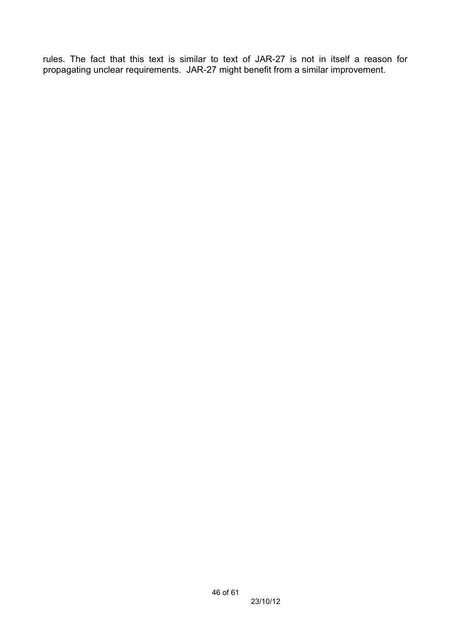rules. The fact that this text is similar to text of JAR-27 is not in itself a reason for propagating unclear requirements. JAR-27 might benefit from a similar improvement.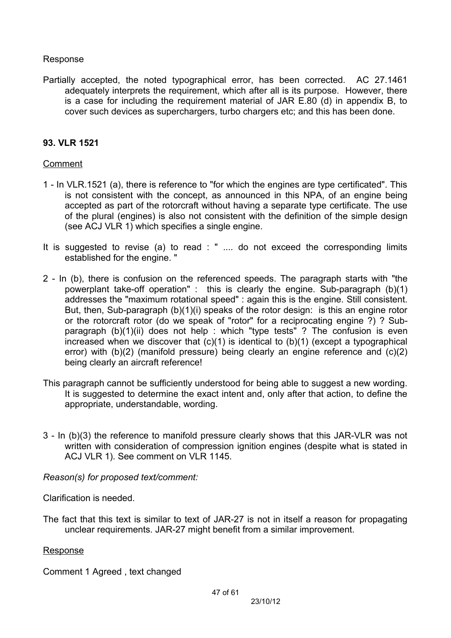#### Response

Partially accepted, the noted typographical error, has been corrected. AC 27.1461 adequately interprets the requirement, which after all is its purpose. However, there is a case for including the requirement material of JAR E.80 (d) in appendix B, to cover such devices as superchargers, turbo chargers etc; and this has been done.

### **93. VLR 1521**

### Comment

- 1 In VLR.1521 (a), there is reference to "for which the engines are type certificated". This is not consistent with the concept, as announced in this NPA, of an engine being accepted as part of the rotorcraft without having a separate type certificate. The use of the plural (engines) is also not consistent with the definition of the simple design (see ACJ VLR 1) which specifies a single engine.
- It is suggested to revise (a) to read : " .... do not exceed the corresponding limits established for the engine. "
- 2 In (b), there is confusion on the referenced speeds. The paragraph starts with "the powerplant take-off operation" : this is clearly the engine. Sub-paragraph (b)(1) addresses the "maximum rotational speed" : again this is the engine. Still consistent. But, then, Sub-paragraph (b)(1)(i) speaks of the rotor design: is this an engine rotor or the rotorcraft rotor (do we speak of "rotor" for a reciprocating engine ?) ? Subparagraph (b)(1)(ii) does not help : which "type tests" ? The confusion is even increased when we discover that  $(c)(1)$  is identical to  $(b)(1)$  (except a typographical error) with (b)(2) (manifold pressure) being clearly an engine reference and (c)(2) being clearly an aircraft reference!
- This paragraph cannot be sufficiently understood for being able to suggest a new wording. It is suggested to determine the exact intent and, only after that action, to define the appropriate, understandable, wording.
- 3 In (b)(3) the reference to manifold pressure clearly shows that this JAR-VLR was not written with consideration of compression ignition engines (despite what is stated in ACJ VLR 1). See comment on VLR 1145.

### *Reason(s) for proposed text/comment:*

Clarification is needed.

The fact that this text is similar to text of JAR-27 is not in itself a reason for propagating unclear requirements. JAR-27 might benefit from a similar improvement.

#### **Response**

Comment 1 Agreed , text changed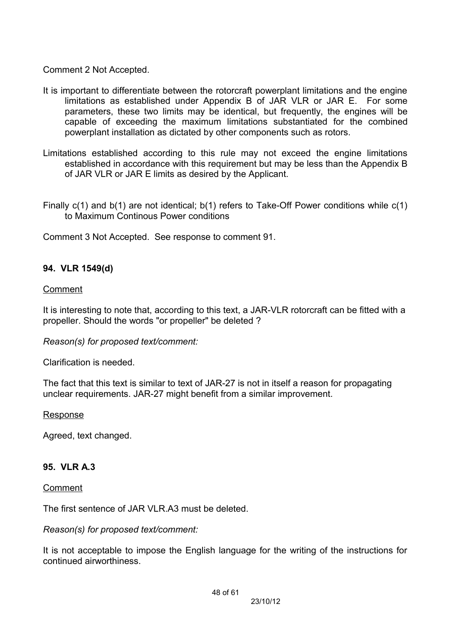Comment 2 Not Accepted.

- It is important to differentiate between the rotorcraft powerplant limitations and the engine limitations as established under Appendix B of JAR VLR or JAR E. For some parameters, these two limits may be identical, but frequently, the engines will be capable of exceeding the maximum limitations substantiated for the combined powerplant installation as dictated by other components such as rotors.
- Limitations established according to this rule may not exceed the engine limitations established in accordance with this requirement but may be less than the Appendix B of JAR VLR or JAR E limits as desired by the Applicant.
- Finally c(1) and b(1) are not identical; b(1) refers to Take-Off Power conditions while c(1) to Maximum Continous Power conditions

Comment 3 Not Accepted. See response to comment 91.

## **94. VLR 1549(d)**

#### Comment

It is interesting to note that, according to this text, a JAR-VLR rotorcraft can be fitted with a propeller. Should the words "or propeller" be deleted ?

*Reason(s) for proposed text/comment:*

Clarification is needed.

The fact that this text is similar to text of JAR-27 is not in itself a reason for propagating unclear requirements. JAR-27 might benefit from a similar improvement.

#### Response

Agreed, text changed.

### **95. VLR A.3**

#### Comment

The first sentence of JAR VLR.A3 must be deleted.

#### *Reason(s) for proposed text/comment:*

It is not acceptable to impose the English language for the writing of the instructions for continued airworthiness.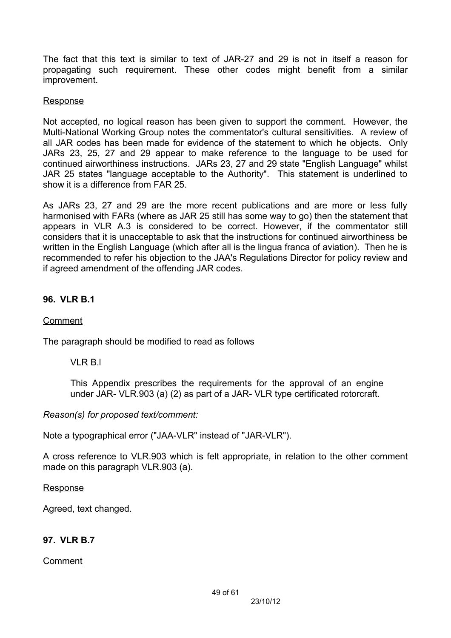The fact that this text is similar to text of JAR-27 and 29 is not in itself a reason for propagating such requirement. These other codes might benefit from a similar improvement.

### Response

Not accepted, no logical reason has been given to support the comment. However, the Multi-National Working Group notes the commentator's cultural sensitivities. A review of all JAR codes has been made for evidence of the statement to which he objects. Only JARs 23, 25, 27 and 29 appear to make reference to the language to be used for continued airworthiness instructions. JARs 23, 27 and 29 state "English Language" whilst JAR 25 states "language acceptable to the Authority". This statement is underlined to show it is a difference from FAR 25.

As JARs 23, 27 and 29 are the more recent publications and are more or less fully harmonised with FARs (where as JAR 25 still has some way to go) then the statement that appears in VLR A.3 is considered to be correct. However, if the commentator still considers that it is unacceptable to ask that the instructions for continued airworthiness be written in the English Language (which after all is the lingua franca of aviation). Then he is recommended to refer his objection to the JAA's Regulations Director for policy review and if agreed amendment of the offending JAR codes.

## **96. VLR B.1**

### Comment

The paragraph should be modified to read as follows

VLR B.L

This Appendix prescribes the requirements for the approval of an engine under JAR- VLR.903 (a) (2) as part of a JAR- VLR type certificated rotorcraft.

*Reason(s) for proposed text/comment:*

Note a typographical error ("JAA-VLR" instead of "JAR-VLR").

A cross reference to VLR.903 which is felt appropriate, in relation to the other comment made on this paragraph VLR.903 (a).

### Response

Agreed, text changed.

## **97. VLR B.7**

Comment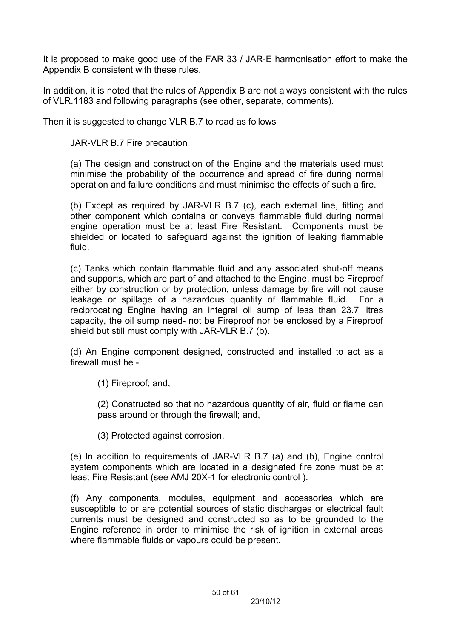It is proposed to make good use of the FAR 33 / JAR-E harmonisation effort to make the Appendix B consistent with these rules.

In addition, it is noted that the rules of Appendix B are not always consistent with the rules of VLR.1183 and following paragraphs (see other, separate, comments).

Then it is suggested to change VLR B.7 to read as follows

JAR-VLR B.7 Fire precaution

(a) The design and construction of the Engine and the materials used must minimise the probability of the occurrence and spread of fire during normal operation and failure conditions and must minimise the effects of such a fire.

(b) Except as required by JAR-VLR B.7 (c), each external line, fitting and other component which contains or conveys flammable fluid during normal engine operation must be at least Fire Resistant. Components must be shielded or located to safeguard against the ignition of leaking flammable fluid.

(c) Tanks which contain flammable fluid and any associated shut-off means and supports, which are part of and attached to the Engine, must be Fireproof either by construction or by protection, unless damage by fire will not cause leakage or spillage of a hazardous quantity of flammable fluid. For a reciprocating Engine having an integral oil sump of less than 23.7 litres capacity, the oil sump need- not be Fireproof nor be enclosed by a Fireproof shield but still must comply with JAR-VLR B.7 (b).

(d) An Engine component designed, constructed and installed to act as a firewall must be -

(1) Fireproof; and,

(2) Constructed so that no hazardous quantity of air, fluid or flame can pass around or through the firewall; and,

(3) Protected against corrosion.

(e) In addition to requirements of JAR-VLR B.7 (a) and (b), Engine control system components which are located in a designated fire zone must be at least Fire Resistant (see AMJ 20X-1 for electronic control ).

(f) Any components, modules, equipment and accessories which are susceptible to or are potential sources of static discharges or electrical fault currents must be designed and constructed so as to be grounded to the Engine reference in order to minimise the risk of ignition in external areas where flammable fluids or vapours could be present.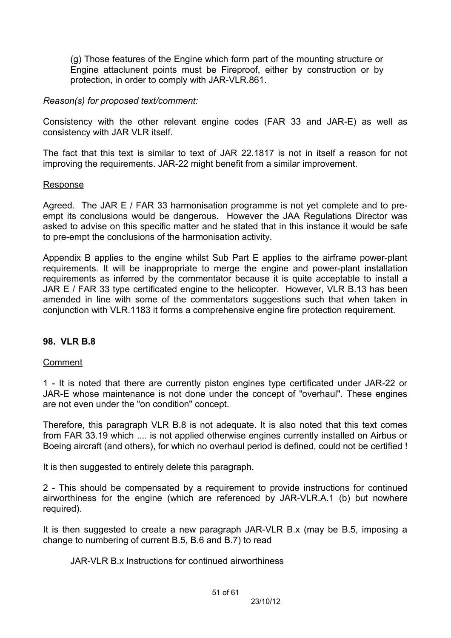(g) Those features of the Engine which form part of the mounting structure or Engine attaclunent points must be Fireproof, either by construction or by protection, in order to comply with JAR-VLR.861.

### *Reason(s) for proposed text/comment:*

Consistency with the other relevant engine codes (FAR 33 and JAR-E) as well as consistency with JAR VLR itself.

The fact that this text is similar to text of JAR 22.1817 is not in itself a reason for not improving the requirements. JAR-22 might benefit from a similar improvement.

### Response

Agreed. The JAR E / FAR 33 harmonisation programme is not vet complete and to preempt its conclusions would be dangerous. However the JAA Regulations Director was asked to advise on this specific matter and he stated that in this instance it would be safe to pre-empt the conclusions of the harmonisation activity.

Appendix B applies to the engine whilst Sub Part E applies to the airframe power-plant requirements. It will be inappropriate to merge the engine and power-plant installation requirements as inferred by the commentator because it is quite acceptable to install a JAR E / FAR 33 type certificated engine to the helicopter. However, VLR B.13 has been amended in line with some of the commentators suggestions such that when taken in conjunction with VLR.1183 it forms a comprehensive engine fire protection requirement.

## **98. VLR B.8**

### Comment

1 - It is noted that there are currently piston engines type certificated under JAR-22 or JAR-E whose maintenance is not done under the concept of "overhaul". These engines are not even under the "on condition" concept.

Therefore, this paragraph VLR B.8 is not adequate. It is also noted that this text comes from FAR 33.19 which .... is not applied otherwise engines currently installed on Airbus or Boeing aircraft (and others), for which no overhaul period is defined, could not be certified !

It is then suggested to entirely delete this paragraph.

2 - This should be compensated by a requirement to provide instructions for continued airworthiness for the engine (which are referenced by JAR-VLR.A.1 (b) but nowhere required).

It is then suggested to create a new paragraph JAR-VLR B.x (may be B.5, imposing a change to numbering of current B.5, B.6 and B.7) to read

JAR-VLR B.x Instructions for continued airworthiness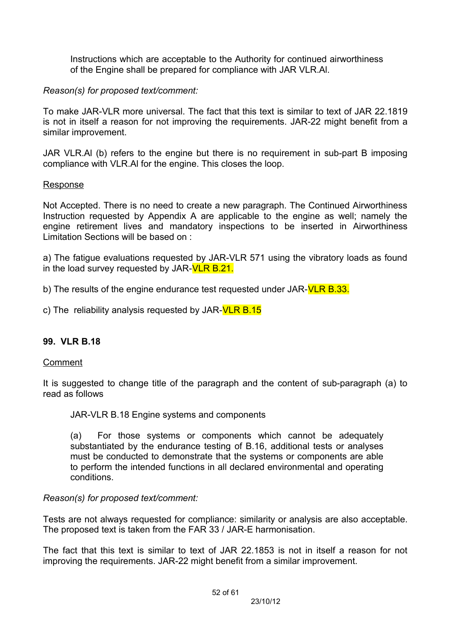Instructions which are acceptable to the Authority for continued airworthiness of the Engine shall be prepared for compliance with JAR VLR.Al.

## *Reason(s) for proposed text/comment:*

To make JAR-VLR more universal. The fact that this text is similar to text of JAR 22.1819 is not in itself a reason for not improving the requirements. JAR-22 might benefit from a similar improvement.

JAR VLR.Al (b) refers to the engine but there is no requirement in sub-part B imposing compliance with VLR.Al for the engine. This closes the loop.

## Response

Not Accepted. There is no need to create a new paragraph. The Continued Airworthiness Instruction requested by Appendix A are applicable to the engine as well; namely the engine retirement lives and mandatory inspections to be inserted in Airworthiness Limitation Sections will be based on :

a) The fatigue evaluations requested by JAR-VLR 571 using the vibratory loads as found in the load survey requested by JAR-VLR B.21.

b) The results of the engine endurance test requested under JAR-**VLR B.33.** 

c) The reliability analysis requested by JAR- $VLR B.15$ 

## **99. VLR B.18**

## Comment

It is suggested to change title of the paragraph and the content of sub-paragraph (a) to read as follows

JAR-VLR B.18 Engine systems and components

(a) For those systems or components which cannot be adequately substantiated by the endurance testing of B.16, additional tests or analyses must be conducted to demonstrate that the systems or components are able to perform the intended functions in all declared environmental and operating conditions.

## *Reason(s) for proposed text/comment:*

Tests are not always requested for compliance: similarity or analysis are also acceptable. The proposed text is taken from the FAR 33 / JAR-E harmonisation.

The fact that this text is similar to text of JAR 22.1853 is not in itself a reason for not improving the requirements. JAR-22 might benefit from a similar improvement.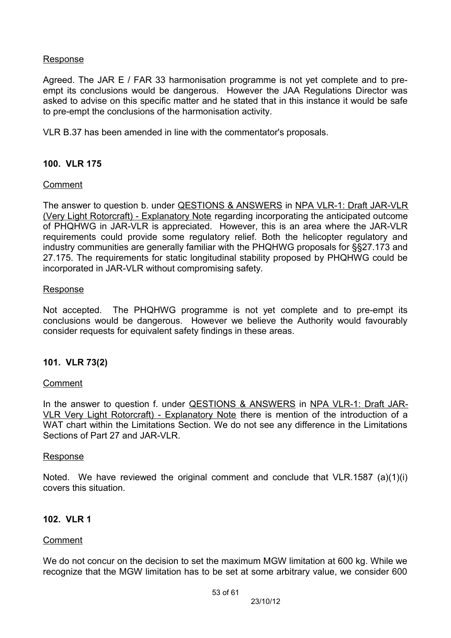### Response

Agreed. The JAR E / FAR 33 harmonisation programme is not yet complete and to preempt its conclusions would be dangerous. However the JAA Regulations Director was asked to advise on this specific matter and he stated that in this instance it would be safe to pre-empt the conclusions of the harmonisation activity.

VLR B.37 has been amended in line with the commentator's proposals.

### **100. VLR 175**

### Comment

The answer to question b. under QESTIONS & ANSWERS in NPA VLR-1: Draft JAR-VLR (Very Light Rotorcraft) - Explanatory Note regarding incorporating the anticipated outcome of PHQHWG in JAR-VLR is appreciated. However, this is an area where the JAR-VLR requirements could provide some regulatory relief. Both the helicopter regulatory and industry communities are generally familiar with the PHQHWG proposals for §§27.173 and 27.175. The requirements for static longitudinal stability proposed by PHQHWG could be incorporated in JAR-VLR without compromising safety.

#### **Response**

Not accepted. The PHQHWG programme is not yet complete and to pre-empt its conclusions would be dangerous. However we believe the Authority would favourably consider requests for equivalent safety findings in these areas.

### **101. VLR 73(2)**

### Comment

In the answer to question f. under QESTIONS & ANSWERS in NPA VLR-1: Draft JAR-VLR Very Light Rotorcraft) - Explanatory Note there is mention of the introduction of a WAT chart within the Limitations Section. We do not see any difference in the Limitations Sections of Part 27 and JAR-VLR.

#### Response

Noted. We have reviewed the original comment and conclude that VLR.1587 (a)(1)(i) covers this situation.

### **102. VLR 1**

### Comment

We do not concur on the decision to set the maximum MGW limitation at 600 kg. While we recognize that the MGW limitation has to be set at some arbitrary value, we consider 600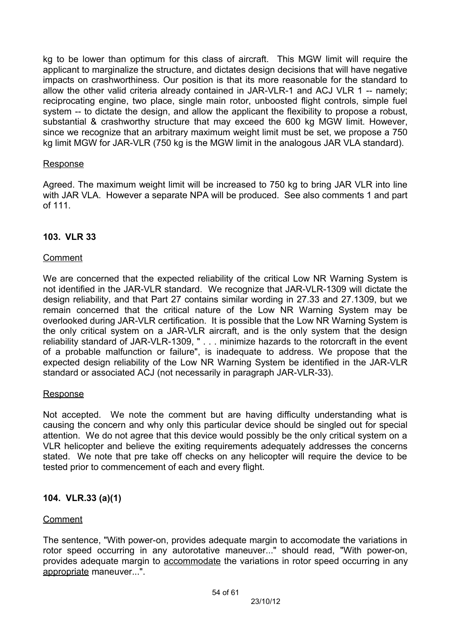kg to be lower than optimum for this class of aircraft. This MGW limit will require the applicant to marginalize the structure, and dictates design decisions that will have negative impacts on crashworthiness. Our position is that its more reasonable for the standard to allow the other valid criteria already contained in JAR-VLR-1 and ACJ VLR 1 -- namely; reciprocating engine, two place, single main rotor, unboosted flight controls, simple fuel system -- to dictate the design, and allow the applicant the flexibility to propose a robust, substantial & crashworthy structure that may exceed the 600 kg MGW limit. However, since we recognize that an arbitrary maximum weight limit must be set, we propose a 750 kg limit MGW for JAR-VLR (750 kg is the MGW limit in the analogous JAR VLA standard).

### Response

Agreed. The maximum weight limit will be increased to 750 kg to bring JAR VLR into line with JAR VLA. However a separate NPA will be produced. See also comments 1 and part of 111.

## **103. VLR 33**

### Comment

We are concerned that the expected reliability of the critical Low NR Warning System is not identified in the JAR-VLR standard. We recognize that JAR-VLR-1309 will dictate the design reliability, and that Part 27 contains similar wording in 27.33 and 27.1309, but we remain concerned that the critical nature of the Low NR Warning System may be overlooked during JAR-VLR certification. It is possible that the Low NR Warning System is the only critical system on a JAR-VLR aircraft, and is the only system that the design reliability standard of JAR-VLR-1309, " . . . minimize hazards to the rotorcraft in the event of a probable malfunction or failure", is inadequate to address. We propose that the expected design reliability of the Low NR Warning System be identified in the JAR-VLR standard or associated ACJ (not necessarily in paragraph JAR-VLR-33).

### **Response**

Not accepted. We note the comment but are having difficulty understanding what is causing the concern and why only this particular device should be singled out for special attention. We do not agree that this device would possibly be the only critical system on a VLR helicopter and believe the exiting requirements adequately addresses the concerns stated. We note that pre take off checks on any helicopter will require the device to be tested prior to commencement of each and every flight.

## **104. VLR.33 (a)(1)**

### Comment

The sentence, "With power-on, provides adequate margin to accomodate the variations in rotor speed occurring in any autorotative maneuver..." should read, "With power-on, provides adequate margin to accommodate the variations in rotor speed occurring in any appropriate maneuver...".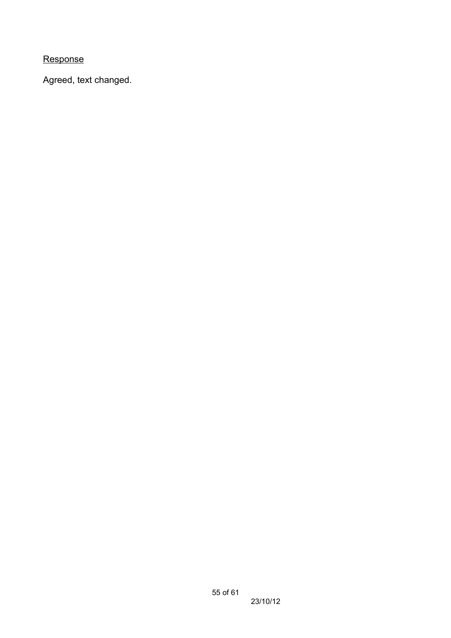Response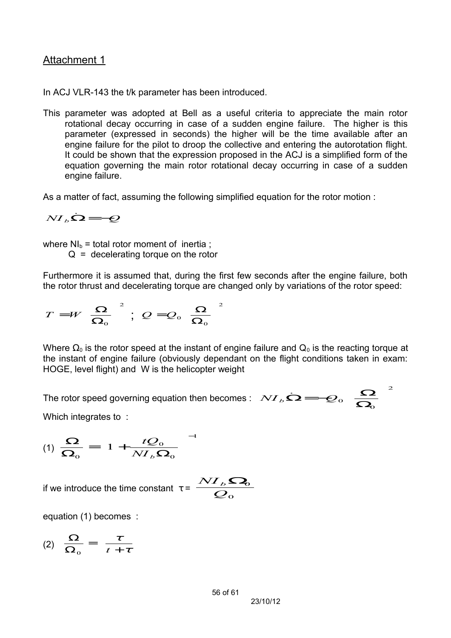## Attachment 1

In ACJ VLR-143 the t/k parameter has been introduced.

This parameter was adopted at Bell as a useful criteria to appreciate the main rotor rotational decay occurring in case of a sudden engine failure. The higher is this parameter (expressed in seconds) the higher will be the time available after an engine failure for the pilot to droop the collective and entering the autorotation flight. It could be shown that the expression proposed in the ACJ is a simplified form of the equation governing the main rotor rotational decay occurring in case of a sudden engine failure.

As a matter of fact, assuming the following simplified equation for the rotor motion :

$$
N I_b \dot{\Omega} = -Q
$$

where  $NI_b =$  total rotor moment of inertia;

 $Q =$  decelerating torque on the rotor

Furthermore it is assumed that, during the first few seconds after the engine failure, both the rotor thrust and decelerating torque are changed only by variations of the rotor speed:

$$
T = W \left(\frac{\Omega}{\Omega_0}\right)^2 \; ; \; Q = Q_0 \left(\frac{\Omega}{\Omega_0}\right)^2
$$

Where  $\Omega_0$  is the rotor speed at the instant of engine failure and  $Q_0$  is the reacting torque at the instant of engine failure (obviously dependant on the flight conditions taken in exam: HOGE, level flight) and W is the helicopter weight

The rotor speed governing equation then becomes :  $N I_b \dot{\Omega} = -Q_0 \left( \frac{\Omega}{\Omega} \right)$ 

Which integrates to :

$$
(1) \frac{\Omega}{\Omega_0} = \left(1 + \frac{tQ_0}{N I_b \Omega_0}\right)^{-1}
$$

if we introduce the time constant  $\tau = \frac{\sigma}{\mathcal{Q}_{\text{o}}}$  $NI_{b}$ Ω

equation (1) becomes :

(2)  $\frac{\Omega}{\Omega} = \frac{\tau}{\tau + \tau}$  $\overline{\phantom{a}}$  $\left(\frac{\tau}{\tau+\tau}\right)$  $\mathbf \setminus$  $\overline{C}$ + =  $\overline{\mathbf{\Omega}}$  $\Omega$ τ  $\frac{2}{0} = \left(\frac{\tau}{t+1}\right)$ 

 $\frac{I_{b}\boldsymbol{\Omega}_{0}}{Q_{0}}$ 

2

 $\overline{\phantom{a}}$ 

 $\frac{Q}{\Omega_{\text{o}}}\right)$ 

 $\frac{\Omega}{\Omega}$ 

 $\overline{\left( \begin{array}{c} 0 & 0 \\ 0 & 0 \end{array} \right)}$  $\big($  $\overline{\mathcal{C}}$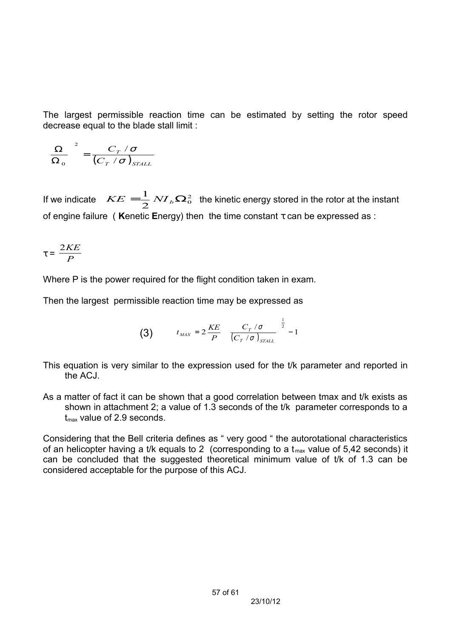The largest permissible reaction time can be estimated by setting the rotor speed decrease equal to the blade stall limit :

$$
\left(\frac{\Omega}{\Omega_o}\right)^2 = \frac{C_T / \sigma}{\left(C_T / \sigma\right)_{STALL}}
$$

If we indicate  $\ \ KE = \frac{1}{2} N I_b \Omega_0^2$  $KE = \frac{1}{2} N I_b \Omega_0^2$  the kinetic energy stored in the rotor at the instant of engine failure ( **K**enetic **E**nergy) then the time constant τ can be expressed as :

$$
\tau = \frac{2KE}{P}
$$

Where P is the power required for the flight condition taken in exam.

Then the largest permissible reaction time may be expressed as

$$
\textbf{(3)} \qquad \quad t_{\text{max}} = 2 \frac{\text{KE}}{P} \left[ \left( \frac{C_T / \sigma}{\left(C_T / \sigma\right)_{\text{STALL}}} \right)^{\frac{1}{2}} - 1 \right]
$$

This equation is very similar to the expression used for the t/k parameter and reported in the ACJ.

As a matter of fact it can be shown that a good correlation between tmax and t/k exists as shown in attachment 2; a value of 1.3 seconds of the t/k parameter corresponds to a  $t_{\text{max}}$  value of 2.9 seconds.

Considering that the Bell criteria defines as " very good " the autorotational characteristics of an helicopter having a t/k equals to 2 (corresponding to a  $t_{\text{max}}$  value of 5,42 seconds) it can be concluded that the suggested theoretical minimum value of t/k of 1.3 can be considered acceptable for the purpose of this ACJ.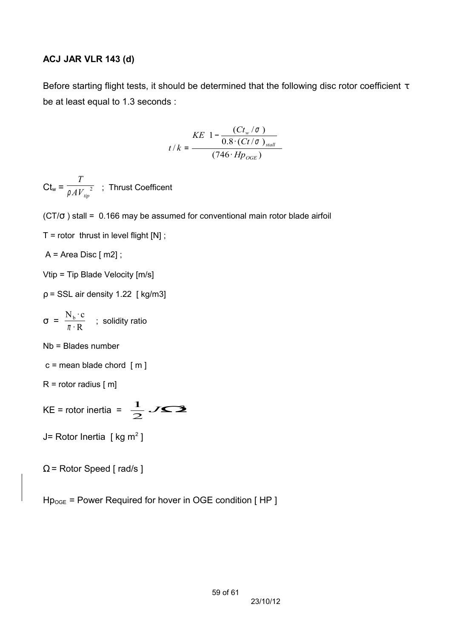### **ACJ JAR VLR 143 (d)**

Before starting flight tests, it should be determined that the following disc rotor coefficient  $\tau$ be at least equal to 1.3 seconds :

$$
t/k = \frac{KE\left(1 - \frac{(Ct_w/\sigma)}{0.8 \cdot (Ct/\sigma)_{\text{stall}}}\right)}{(746 \cdot Hp_{\text{OGE}})}
$$

 $Ct_{w} =$ *T*  $\overline{\rho A{V_{_{tip}}^2}}$  ; Thrust Coefficent

(CT/σ ) stall = 0.166 may be assumed for conventional main rotor blade airfoil

 $T =$  rotor thrust in level flight  $[N]$ ;

 $A = Area Disc [m2]$ ;

Vtip = Tip Blade Velocity [m/s]

 $p = SSL$  air density 1.22 [ kg/m3]

$$
\sigma = \frac{N_b \cdot c}{\pi \cdot R} \quad ; \text{ solidity ratio}
$$

Nb = Blades number

 $c$  = mean blade chord  $[m]$ 

$$
R = rotor \text{ radius } [m]
$$

KE = rotor inertia =  $\frac{1}{2}$  JS3  $\frac{1}{2}$ *J*≤2

J= Rotor Inertia [ kg m<sup>2</sup> ]

```
\Omega = Rotor Speed [rad/s]
```
 $Hp_{OGE}$  = Power Required for hover in OGE condition [HP]